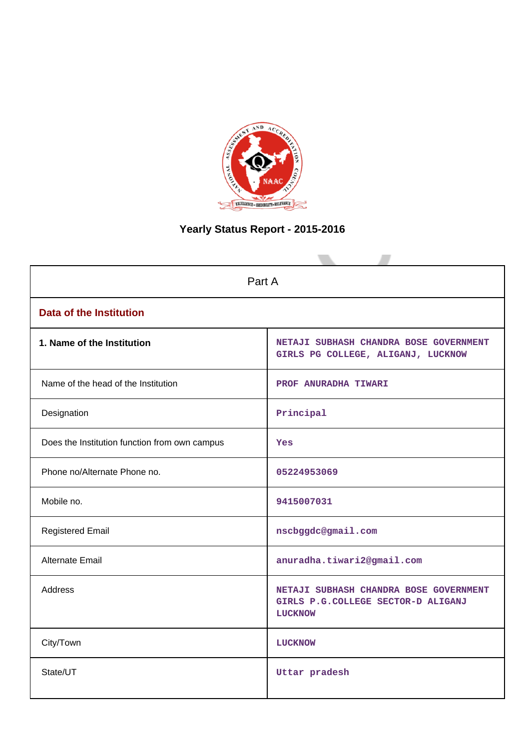

# **Yearly Status Report - 2015-2016**

| Part A                                        |                                                                                                |
|-----------------------------------------------|------------------------------------------------------------------------------------------------|
| <b>Data of the Institution</b>                |                                                                                                |
| 1. Name of the Institution                    | NETAJI SUBHASH CHANDRA BOSE GOVERNMENT<br>GIRLS PG COLLEGE, ALIGANJ, LUCKNOW                   |
| Name of the head of the Institution           | PROF ANURADHA TIWARI                                                                           |
| Designation                                   | Principal                                                                                      |
| Does the Institution function from own campus | <b>Yes</b>                                                                                     |
| Phone no/Alternate Phone no.                  | 05224953069                                                                                    |
| Mobile no.                                    | 9415007031                                                                                     |
| <b>Registered Email</b>                       | nscbggdc@gmail.com                                                                             |
| <b>Alternate Email</b>                        | anuradha.tiwari2@gmail.com                                                                     |
| <b>Address</b>                                | NETAJI SUBHASH CHANDRA BOSE GOVERNMENT<br>GIRLS P.G.COLLEGE SECTOR-D ALIGANJ<br><b>LUCKNOW</b> |
| City/Town                                     | <b>LUCKNOW</b>                                                                                 |
| State/UT                                      | Uttar pradesh                                                                                  |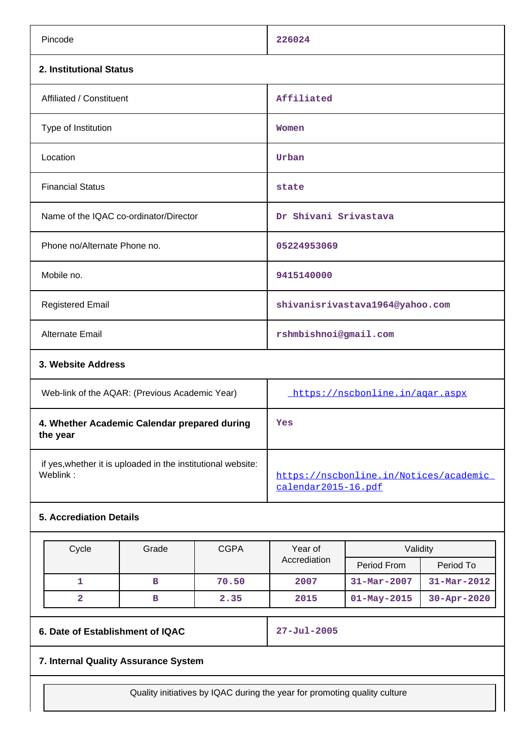| Pincode                                | 226024                          |
|----------------------------------------|---------------------------------|
| 2. Institutional Status                |                                 |
| Affiliated / Constituent               | Affiliated                      |
| Type of Institution                    | Women                           |
| Location                               | Urban                           |
| <b>Financial Status</b>                | state                           |
| Name of the IQAC co-ordinator/Director | Dr Shivani Srivastava           |
| Phone no/Alternate Phone no.           | 05224953069                     |
| Mobile no.                             | 9415140000                      |
| <b>Registered Email</b>                | shivanisrivastava1964@yahoo.com |
| Alternate Email                        | rshmbishnoi@gmail.com           |
| 3. Website Address                     |                                 |

| Web-link of the AQAR: (Previous Academic Year)                           | https://nscbonline.in/agar.aspx                               |
|--------------------------------------------------------------------------|---------------------------------------------------------------|
| 4. Whether Academic Calendar prepared during<br>the year                 | Yes                                                           |
| if yes, whether it is uploaded in the institutional website:<br>Weblink: | https://nscbonline.in/Notices/academic<br>calendar2015-16.pdf |

## **5. Accrediation Details**

| Cycle | Grade | <b>CGPA</b> | Year of      | Validity          |                   |
|-------|-------|-------------|--------------|-------------------|-------------------|
|       |       |             | Accrediation | Period From       | Period To         |
|       | в     | 70.50       | 2007         | $31 - Mar - 2007$ | $31 - Mar - 2012$ |
|       | в     | 2.35        | 2015         | $01 - May - 2015$ | $30 - Apr - 2020$ |

**6. Date of Establishment of IQAC 27-Jul-2005**

## **7. Internal Quality Assurance System**

Quality initiatives by IQAC during the year for promoting quality culture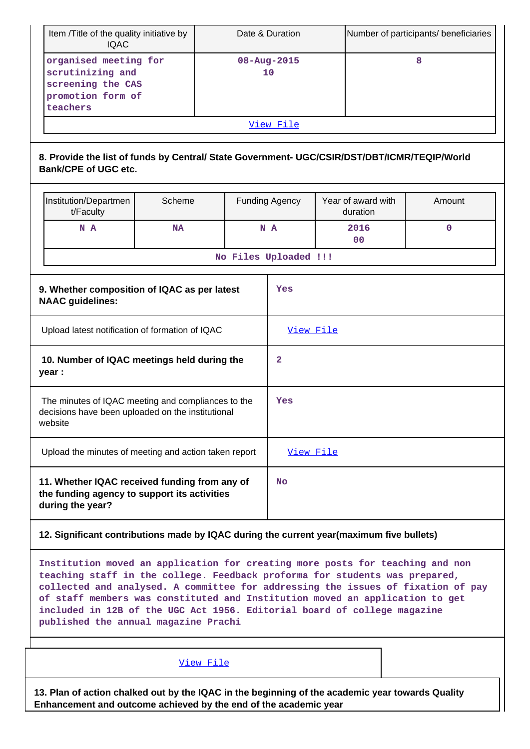| Item /Title of the quality initiative by<br>Date & Duration<br><b>IQAC</b>                                                  |                                             |  |                       |                                |  | Number of participants/ beneficiaries |  |  |
|-----------------------------------------------------------------------------------------------------------------------------|---------------------------------------------|--|-----------------------|--------------------------------|--|---------------------------------------|--|--|
| organised meeting for<br>scrutinizing and<br>screening the CAS<br>promotion form of<br>teachers                             | 08-Aug-2015<br>10                           |  |                       |                                |  | 8                                     |  |  |
| View File                                                                                                                   |                                             |  |                       |                                |  |                                       |  |  |
| 8. Provide the list of funds by Central/ State Government- UGC/CSIR/DST/DBT/ICMR/TEQIP/World<br><b>Bank/CPE of UGC etc.</b> |                                             |  |                       |                                |  |                                       |  |  |
| Institution/Departmen<br>t/Faculty                                                                                          | Scheme                                      |  | <b>Funding Agency</b> | Year of award with<br>duration |  | Amount                                |  |  |
| N A                                                                                                                         | <b>NA</b>                                   |  | N A                   | 2016<br>0 <sub>0</sub>         |  | $\mathbf 0$                           |  |  |
|                                                                                                                             | No Files Uploaded !!!                       |  |                       |                                |  |                                       |  |  |
| 9. Whether composition of IQAC as per latest<br><b>NAAC</b> guidelines:                                                     |                                             |  |                       | Yes                            |  |                                       |  |  |
| Upload latest notification of formation of IQAC                                                                             |                                             |  | View File             |                                |  |                                       |  |  |
| year :                                                                                                                      | 10. Number of IQAC meetings held during the |  |                       |                                |  |                                       |  |  |
| The minutes of IQAC meeting and compliances to the<br>decisions have been uploaded on the institutional<br>website          |                                             |  | Yes                   |                                |  |                                       |  |  |
| Upload the minutes of meeting and action taken report                                                                       |                                             |  | View File             |                                |  |                                       |  |  |
| 11. Whether IQAC received funding from any of<br>the funding agency to support its activities<br>during the year?           |                                             |  | No                    |                                |  |                                       |  |  |
| 12. Significant contributions made by IQAC during the current year(maximum five bullets)                                    |                                             |  |                       |                                |  |                                       |  |  |
| Institution moved an application for creating more posts for teaching and non                                               |                                             |  |                       |                                |  |                                       |  |  |

**Institution moved an application for creating more posts for teaching and non teaching staff in the college. Feedback proforma for students was prepared, collected and analysed. A committee for addressing the issues of fixation of pay of staff members was constituted and Institution moved an application to get included in 12B of the UGC Act 1956. Editorial board of college magazine published the annual magazine Prachi**

[View File](https://assessmentonline.naac.gov.in/public/Postacc/Contribution/6083_Contribution.xlsx)

**13. Plan of action chalked out by the IQAC in the beginning of the academic year towards Quality Enhancement and outcome achieved by the end of the academic year**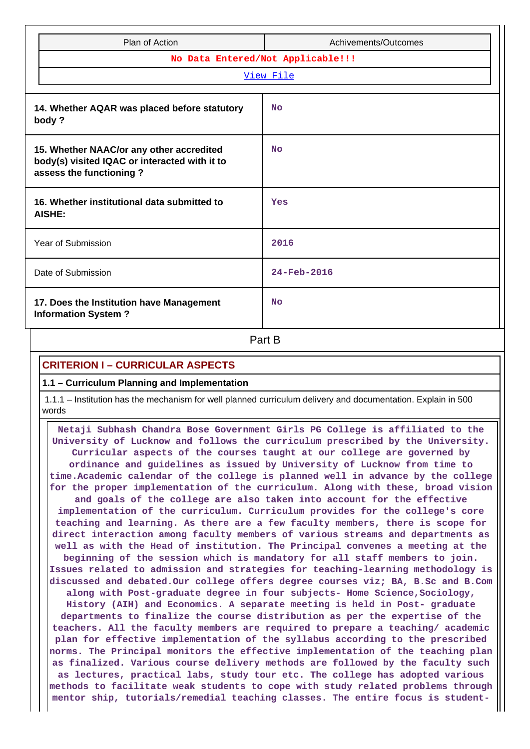|                                   | Plan of Action                                                                            | Achivements/Outcomes |  |  |  |  |
|-----------------------------------|-------------------------------------------------------------------------------------------|----------------------|--|--|--|--|
| No Data Entered/Not Applicable!!! |                                                                                           |                      |  |  |  |  |
|                                   | View File                                                                                 |                      |  |  |  |  |
|                                   |                                                                                           |                      |  |  |  |  |
| body?                             | 14. Whether AQAR was placed before statutory                                              | <b>No</b>            |  |  |  |  |
| assess the functioning?           | 15. Whether NAAC/or any other accredited<br>body(s) visited IQAC or interacted with it to | No                   |  |  |  |  |
| AISHE:                            | 16. Whether institutional data submitted to                                               | Yes                  |  |  |  |  |
| Year of Submission                |                                                                                           | 2016                 |  |  |  |  |
| Date of Submission                |                                                                                           | $24 - Feb - 2016$    |  |  |  |  |
| <b>Information System?</b>        | 17. Does the Institution have Management                                                  | <b>No</b>            |  |  |  |  |
| Part B                            |                                                                                           |                      |  |  |  |  |

## **CRITERION I – CURRICULAR ASPECTS**

#### **1.1 – Curriculum Planning and Implementation**

 1.1.1 – Institution has the mechanism for well planned curriculum delivery and documentation. Explain in 500 words

 **Netaji Subhash Chandra Bose Government Girls PG College is affiliated to the University of Lucknow and follows the curriculum prescribed by the University. Curricular aspects of the courses taught at our college are governed by ordinance and guidelines as issued by University of Lucknow from time to time.Academic calendar of the college is planned well in advance by the college for the proper implementation of the curriculum. Along with these, broad vision and goals of the college are also taken into account for the effective implementation of the curriculum. Curriculum provides for the college's core teaching and learning. As there are a few faculty members, there is scope for direct interaction among faculty members of various streams and departments as well as with the Head of institution. The Principal convenes a meeting at the beginning of the session which is mandatory for all staff members to join. Issues related to admission and strategies for teaching-learning methodology is discussed and debated.Our college offers degree courses viz; BA, B.Sc and B.Com along with Post-graduate degree in four subjects- Home Science,Sociology, History (AIH) and Economics. A separate meeting is held in Post- graduate departments to finalize the course distribution as per the expertise of the teachers. All the faculty members are required to prepare a teaching/ academic plan for effective implementation of the syllabus according to the prescribed norms. The Principal monitors the effective implementation of the teaching plan as finalized. Various course delivery methods are followed by the faculty such as lectures, practical labs, study tour etc. The college has adopted various methods to facilitate weak students to cope with study related problems through mentor ship, tutorials/remedial teaching classes. The entire focus is student-**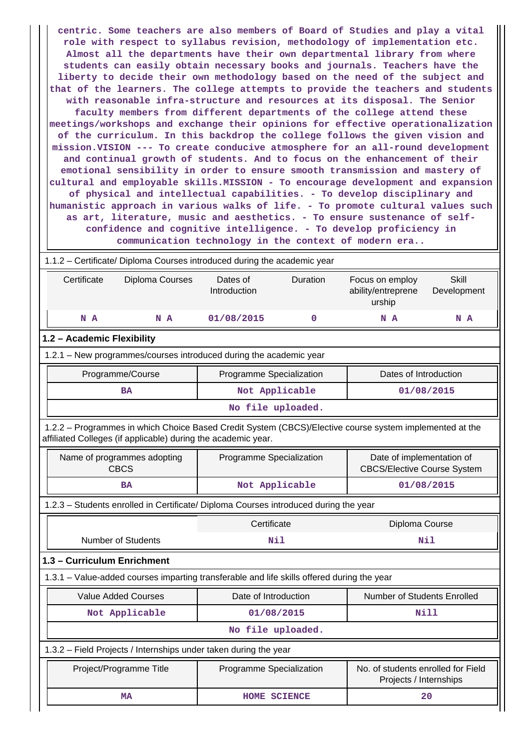**centric. Some teachers are also members of Board of Studies and play a vital role with respect to syllabus revision, methodology of implementation etc. Almost all the departments have their own departmental library from where students can easily obtain necessary books and journals. Teachers have the liberty to decide their own methodology based on the need of the subject and that of the learners. The college attempts to provide the teachers and students with reasonable infra-structure and resources at its disposal. The Senior faculty members from different departments of the college attend these meetings/workshops and exchange their opinions for effective operationalization of the curriculum. In this backdrop the college follows the given vision and mission.VISION --- To create conducive atmosphere for an all-round development and continual growth of students. And to focus on the enhancement of their emotional sensibility in order to ensure smooth transmission and mastery of cultural and employable skills.MISSION - To encourage development and expansion of physical and intellectual capabilities. - To develop disciplinary and humanistic approach in various walks of life. - To promote cultural values such as art, literature, music and aesthetics. - To ensure sustenance of selfconfidence and cognitive intelligence. - To develop proficiency in communication technology in the context of modern era..**

|                             | 1.1.2 - Certificate/ Diploma Courses introduced during the academic year                                                                                                 |                           |                          |                                                 |                                                                 |  |  |  |  |
|-----------------------------|--------------------------------------------------------------------------------------------------------------------------------------------------------------------------|---------------------------|--------------------------|-------------------------------------------------|-----------------------------------------------------------------|--|--|--|--|
| Certificate                 | Diploma Courses                                                                                                                                                          | Dates of<br>Introduction  | Duration                 | Focus on employ<br>ability/entreprene<br>urship | <b>Skill</b><br>Development                                     |  |  |  |  |
| N A                         | N A                                                                                                                                                                      | 01/08/2015                | 0                        | N A                                             | N A                                                             |  |  |  |  |
|                             | 1.2 - Academic Flexibility                                                                                                                                               |                           |                          |                                                 |                                                                 |  |  |  |  |
|                             | 1.2.1 - New programmes/courses introduced during the academic year                                                                                                       |                           |                          |                                                 |                                                                 |  |  |  |  |
|                             | Programme/Course                                                                                                                                                         | Programme Specialization  |                          | Dates of Introduction                           |                                                                 |  |  |  |  |
|                             | <b>BA</b>                                                                                                                                                                |                           | Not Applicable           |                                                 | 01/08/2015                                                      |  |  |  |  |
|                             |                                                                                                                                                                          | No file uploaded.         |                          |                                                 |                                                                 |  |  |  |  |
|                             | 1.2.2 - Programmes in which Choice Based Credit System (CBCS)/Elective course system implemented at the<br>affiliated Colleges (if applicable) during the academic year. |                           |                          |                                                 |                                                                 |  |  |  |  |
|                             | Name of programmes adopting<br><b>CBCS</b>                                                                                                                               |                           | Programme Specialization |                                                 | Date of implementation of<br><b>CBCS/Elective Course System</b> |  |  |  |  |
|                             | <b>BA</b>                                                                                                                                                                |                           | Not Applicable           |                                                 | 01/08/2015                                                      |  |  |  |  |
|                             | 1.2.3 - Students enrolled in Certificate/ Diploma Courses introduced during the year                                                                                     |                           |                          |                                                 |                                                                 |  |  |  |  |
|                             |                                                                                                                                                                          | Certificate               |                          |                                                 | Diploma Course                                                  |  |  |  |  |
|                             | <b>Number of Students</b>                                                                                                                                                | Nil                       |                          |                                                 | Nil                                                             |  |  |  |  |
| 1.3 - Curriculum Enrichment |                                                                                                                                                                          |                           |                          |                                                 |                                                                 |  |  |  |  |
|                             | 1.3.1 - Value-added courses imparting transferable and life skills offered during the year                                                                               |                           |                          |                                                 |                                                                 |  |  |  |  |
|                             | <b>Value Added Courses</b>                                                                                                                                               | Date of Introduction      |                          | Number of Students Enrolled                     |                                                                 |  |  |  |  |
|                             | Not Applicable                                                                                                                                                           | 01/08/2015                |                          |                                                 | Nill                                                            |  |  |  |  |
|                             |                                                                                                                                                                          | No file uploaded.         |                          |                                                 |                                                                 |  |  |  |  |
|                             | 1.3.2 - Field Projects / Internships under taken during the year                                                                                                         |                           |                          |                                                 |                                                                 |  |  |  |  |
|                             | Project/Programme Title<br>Programme Specialization<br>No. of students enrolled for Field<br>Projects / Internships                                                      |                           |                          |                                                 |                                                                 |  |  |  |  |
|                             | <b>MA</b>                                                                                                                                                                | 20<br><b>HOME SCIENCE</b> |                          |                                                 |                                                                 |  |  |  |  |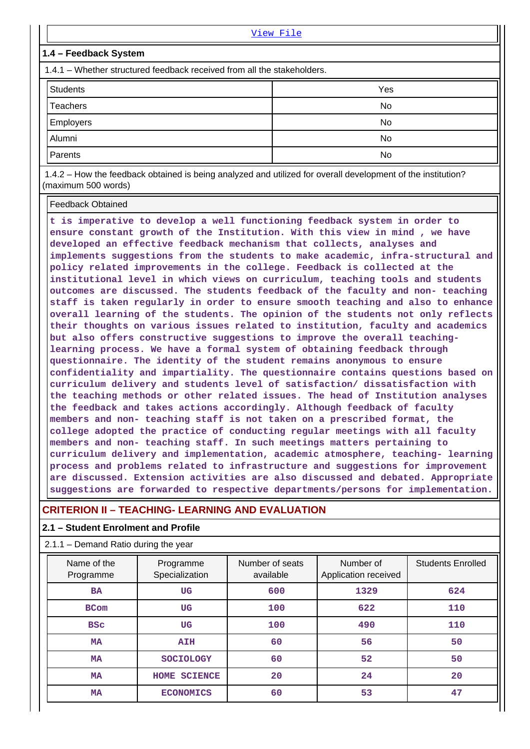|                                                                         | View File |  |  |  |  |
|-------------------------------------------------------------------------|-----------|--|--|--|--|
| 1.4 - Feedback System                                                   |           |  |  |  |  |
| 1.4.1 – Whether structured feedback received from all the stakeholders. |           |  |  |  |  |
| <b>Students</b>                                                         | Yes       |  |  |  |  |
| <b>Teachers</b>                                                         | No        |  |  |  |  |
| Employers                                                               | No        |  |  |  |  |
| Alumni                                                                  | No        |  |  |  |  |
| Parents                                                                 | No        |  |  |  |  |
| .                                                                       |           |  |  |  |  |

 1.4.2 – How the feedback obtained is being analyzed and utilized for overall development of the institution? (maximum 500 words)

Feedback Obtained

**t is imperative to develop a well functioning feedback system in order to ensure constant growth of the Institution. With this view in mind , we have developed an effective feedback mechanism that collects, analyses and implements suggestions from the students to make academic, infra-structural and policy related improvements in the college. Feedback is collected at the institutional level in which views on curriculum, teaching tools and students outcomes are discussed. The students feedback of the faculty and non- teaching staff is taken regularly in order to ensure smooth teaching and also to enhance overall learning of the students. The opinion of the students not only reflects their thoughts on various issues related to institution, faculty and academics but also offers constructive suggestions to improve the overall teachinglearning process. We have a formal system of obtaining feedback through questionnaire. The identity of the student remains anonymous to ensure confidentiality and impartiality. The questionnaire contains questions based on curriculum delivery and students level of satisfaction/ dissatisfaction with the teaching methods or other related issues. The head of Institution analyses the feedback and takes actions accordingly. Although feedback of faculty members and non- teaching staff is not taken on a prescribed format, the college adopted the practice of conducting regular meetings with all faculty members and non- teaching staff. In such meetings matters pertaining to curriculum delivery and implementation, academic atmosphere, teaching- learning process and problems related to infrastructure and suggestions for improvement are discussed. Extension activities are also discussed and debated. Appropriate suggestions are forwarded to respective departments/persons for implementation.**

## **CRITERION II – TEACHING- LEARNING AND EVALUATION**

#### **2.1 – Student Enrolment and Profile**

#### 2.1.1 – Demand Ratio during the year

| Name of the<br>Programme | Programme<br>Specialization | Number of seats<br>available | Number of<br>Application received | <b>Students Enrolled</b> |
|--------------------------|-----------------------------|------------------------------|-----------------------------------|--------------------------|
| <b>BA</b>                | <b>UG</b>                   | 600                          | 1329                              | 624                      |
| <b>BCom</b>              | UG                          | 100                          | 622                               | 110                      |
| <b>BSC</b>               | <b>UG</b>                   | 100                          | 490                               | 110                      |
| <b>MA</b>                | <b>AIH</b>                  | 60                           | 56                                | 50                       |
| <b>MA</b>                | <b>SOCIOLOGY</b>            | 60                           | 52                                | 50                       |
| <b>MA</b>                | HOME SCIENCE                | 20                           | 24                                | 20                       |
| MA                       | <b>ECONOMICS</b>            | 60                           | 53                                | 47                       |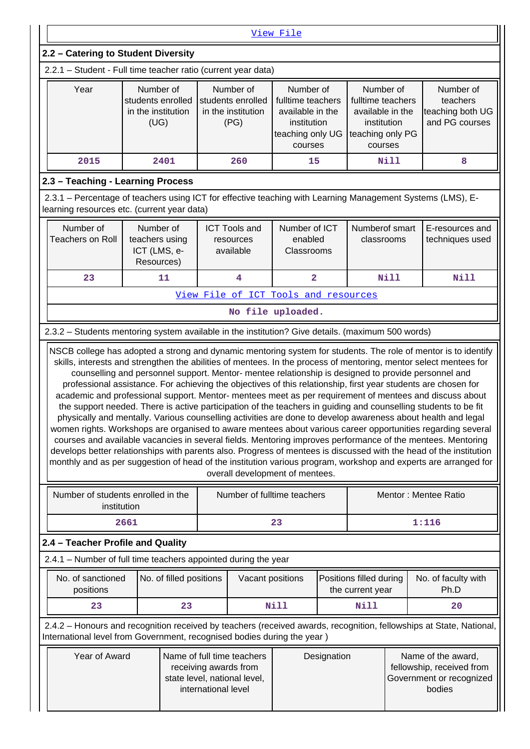|                                                                                                                                                                                                                                                                                                                                                                                                                                                                                                                                                                                                                                                                                                                                                                                                                                                                                                                                                                                                                                            |                                                              |                         |  |                                                              | View File                                                                                        |  |                                                                                                  |             |                                                             |
|--------------------------------------------------------------------------------------------------------------------------------------------------------------------------------------------------------------------------------------------------------------------------------------------------------------------------------------------------------------------------------------------------------------------------------------------------------------------------------------------------------------------------------------------------------------------------------------------------------------------------------------------------------------------------------------------------------------------------------------------------------------------------------------------------------------------------------------------------------------------------------------------------------------------------------------------------------------------------------------------------------------------------------------------|--------------------------------------------------------------|-------------------------|--|--------------------------------------------------------------|--------------------------------------------------------------------------------------------------|--|--------------------------------------------------------------------------------------------------|-------------|-------------------------------------------------------------|
| 2.2 - Catering to Student Diversity                                                                                                                                                                                                                                                                                                                                                                                                                                                                                                                                                                                                                                                                                                                                                                                                                                                                                                                                                                                                        |                                                              |                         |  |                                                              |                                                                                                  |  |                                                                                                  |             |                                                             |
| 2.2.1 - Student - Full time teacher ratio (current year data)                                                                                                                                                                                                                                                                                                                                                                                                                                                                                                                                                                                                                                                                                                                                                                                                                                                                                                                                                                              |                                                              |                         |  |                                                              |                                                                                                  |  |                                                                                                  |             |                                                             |
| Year                                                                                                                                                                                                                                                                                                                                                                                                                                                                                                                                                                                                                                                                                                                                                                                                                                                                                                                                                                                                                                       | Number of<br>students enrolled<br>in the institution<br>(UG) |                         |  | Number of<br>students enrolled<br>in the institution<br>(PG) | Number of<br>fulltime teachers<br>available in the<br>institution<br>teaching only UG<br>courses |  | Number of<br>fulltime teachers<br>available in the<br>institution<br>teaching only PG<br>courses |             | Number of<br>teachers<br>teaching both UG<br>and PG courses |
| 2015                                                                                                                                                                                                                                                                                                                                                                                                                                                                                                                                                                                                                                                                                                                                                                                                                                                                                                                                                                                                                                       | 2401                                                         |                         |  | 260                                                          | 15                                                                                               |  |                                                                                                  | <b>Nill</b> | 8                                                           |
| 2.3 - Teaching - Learning Process                                                                                                                                                                                                                                                                                                                                                                                                                                                                                                                                                                                                                                                                                                                                                                                                                                                                                                                                                                                                          |                                                              |                         |  |                                                              |                                                                                                  |  |                                                                                                  |             |                                                             |
| 2.3.1 - Percentage of teachers using ICT for effective teaching with Learning Management Systems (LMS), E-<br>learning resources etc. (current year data)                                                                                                                                                                                                                                                                                                                                                                                                                                                                                                                                                                                                                                                                                                                                                                                                                                                                                  |                                                              |                         |  |                                                              |                                                                                                  |  |                                                                                                  |             |                                                             |
| Number of<br>Number of<br>Number of ICT<br>Numberof smart<br><b>ICT Tools and</b><br><b>Teachers on Roll</b><br>teachers using<br>enabled<br>classrooms<br>resources<br>ICT (LMS, e-<br>Classrooms<br>available<br>Resources)                                                                                                                                                                                                                                                                                                                                                                                                                                                                                                                                                                                                                                                                                                                                                                                                              |                                                              |                         |  |                                                              |                                                                                                  |  | E-resources and<br>techniques used                                                               |             |                                                             |
| 23                                                                                                                                                                                                                                                                                                                                                                                                                                                                                                                                                                                                                                                                                                                                                                                                                                                                                                                                                                                                                                         | 11                                                           |                         |  | 4                                                            | $\overline{\mathbf{2}}$                                                                          |  |                                                                                                  | <b>Nill</b> | Nill                                                        |
|                                                                                                                                                                                                                                                                                                                                                                                                                                                                                                                                                                                                                                                                                                                                                                                                                                                                                                                                                                                                                                            |                                                              |                         |  |                                                              | View File of ICT Tools and resources                                                             |  |                                                                                                  |             |                                                             |
|                                                                                                                                                                                                                                                                                                                                                                                                                                                                                                                                                                                                                                                                                                                                                                                                                                                                                                                                                                                                                                            |                                                              |                         |  |                                                              | No file uploaded.                                                                                |  |                                                                                                  |             |                                                             |
| 2.3.2 - Students mentoring system available in the institution? Give details. (maximum 500 words)                                                                                                                                                                                                                                                                                                                                                                                                                                                                                                                                                                                                                                                                                                                                                                                                                                                                                                                                          |                                                              |                         |  |                                                              |                                                                                                  |  |                                                                                                  |             |                                                             |
| counselling and personnel support. Mentor- mentee relationship is designed to provide personnel and<br>professional assistance. For achieving the objectives of this relationship, first year students are chosen for<br>academic and professional support. Mentor- mentees meet as per requirement of mentees and discuss about<br>the support needed. There is active participation of the teachers in guiding and counselling students to be fit<br>physically and mentally. Various counselling activities are done to develop awareness about health and legal<br>women rights. Workshops are organised to aware mentees about various career opportunities regarding several<br>courses and available vacancies in several fields. Mentoring improves performance of the mentees. Mentoring<br>develops better relationships with parents also. Progress of mentees is discussed with the head of the institution<br>monthly and as per suggestion of head of the institution various program, workshop and experts are arranged for |                                                              |                         |  |                                                              | overall development of mentees.                                                                  |  |                                                                                                  |             |                                                             |
| Number of students enrolled in the<br>institution                                                                                                                                                                                                                                                                                                                                                                                                                                                                                                                                                                                                                                                                                                                                                                                                                                                                                                                                                                                          |                                                              |                         |  |                                                              | Number of fulltime teachers                                                                      |  |                                                                                                  |             | Mentor: Mentee Ratio                                        |
|                                                                                                                                                                                                                                                                                                                                                                                                                                                                                                                                                                                                                                                                                                                                                                                                                                                                                                                                                                                                                                            | 2661                                                         |                         |  |                                                              | 23                                                                                               |  |                                                                                                  |             | 1:116                                                       |
| 2.4 - Teacher Profile and Quality                                                                                                                                                                                                                                                                                                                                                                                                                                                                                                                                                                                                                                                                                                                                                                                                                                                                                                                                                                                                          |                                                              |                         |  |                                                              |                                                                                                  |  |                                                                                                  |             |                                                             |
| 2.4.1 – Number of full time teachers appointed during the year                                                                                                                                                                                                                                                                                                                                                                                                                                                                                                                                                                                                                                                                                                                                                                                                                                                                                                                                                                             |                                                              |                         |  |                                                              |                                                                                                  |  |                                                                                                  |             |                                                             |
| No. of sanctioned<br>positions                                                                                                                                                                                                                                                                                                                                                                                                                                                                                                                                                                                                                                                                                                                                                                                                                                                                                                                                                                                                             |                                                              | No. of filled positions |  | Vacant positions                                             |                                                                                                  |  | Positions filled during<br>the current year                                                      |             | No. of faculty with<br>Ph.D                                 |
| 23                                                                                                                                                                                                                                                                                                                                                                                                                                                                                                                                                                                                                                                                                                                                                                                                                                                                                                                                                                                                                                         |                                                              | 23                      |  |                                                              | Nill                                                                                             |  | <b>Nill</b>                                                                                      |             | 20                                                          |
| 2.4.2 - Honours and recognition received by teachers (received awards, recognition, fellowships at State, National,                                                                                                                                                                                                                                                                                                                                                                                                                                                                                                                                                                                                                                                                                                                                                                                                                                                                                                                        |                                                              |                         |  |                                                              |                                                                                                  |  |                                                                                                  |             |                                                             |
| International level from Government, recognised bodies during the year)<br>Year of Award<br>Name of full time teachers<br>Designation<br>Name of the award,<br>fellowship, received from<br>receiving awards from<br>Government or recognized<br>state level, national level,<br>international level<br>bodies                                                                                                                                                                                                                                                                                                                                                                                                                                                                                                                                                                                                                                                                                                                             |                                                              |                         |  |                                                              |                                                                                                  |  |                                                                                                  |             |                                                             |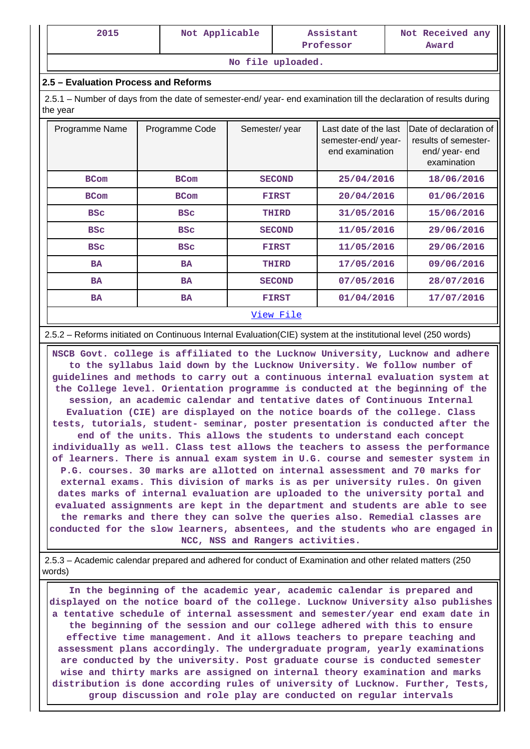| 2015 | Not Applicable | Assistant<br>Professor | Not Received any<br>Award |
|------|----------------|------------------------|---------------------------|
|      |                | No file uploaded.      |                           |

## **2.5 – Evaluation Process and Reforms**

 2.5.1 – Number of days from the date of semester-end/ year- end examination till the declaration of results during the year

| Programme Name | Programme Code | Semester/year | Last date of the last<br>semester-end/year-<br>end examination | Date of declaration of<br>results of semester-<br>end/year-end<br>examination |
|----------------|----------------|---------------|----------------------------------------------------------------|-------------------------------------------------------------------------------|
| <b>BCom</b>    | <b>BCom</b>    | <b>SECOND</b> | 25/04/2016                                                     | 18/06/2016                                                                    |
| <b>BCom</b>    | <b>BCom</b>    | <b>FIRST</b>  | 20/04/2016                                                     | 01/06/2016                                                                    |
| <b>BSC</b>     | <b>BSC</b>     | THIRD         | 31/05/2016                                                     | 15/06/2016                                                                    |
| <b>BSC</b>     | <b>BSC</b>     | <b>SECOND</b> | 11/05/2016                                                     | 29/06/2016                                                                    |
| <b>BSC</b>     | <b>BSC</b>     | <b>FIRST</b>  | 11/05/2016                                                     | 29/06/2016                                                                    |
| <b>BA</b>      | <b>BA</b>      | THIRD         | 17/05/2016                                                     | 09/06/2016                                                                    |
| <b>BA</b>      | <b>BA</b>      | <b>SECOND</b> | 07/05/2016                                                     | 28/07/2016                                                                    |
| <b>BA</b>      | <b>BA</b>      | <b>FIRST</b>  | 01/04/2016                                                     | 17/07/2016                                                                    |
|                |                | View File     |                                                                |                                                                               |

#### 2.5.2 – Reforms initiated on Continuous Internal Evaluation(CIE) system at the institutional level (250 words)

 **NSCB Govt. college is affiliated to the Lucknow University, Lucknow and adhere to the syllabus laid down by the Lucknow University. We follow number of guidelines and methods to carry out a continuous internal evaluation system at the College level. Orientation programme is conducted at the beginning of the session, an academic calendar and tentative dates of Continuous Internal Evaluation (CIE) are displayed on the notice boards of the college. Class tests, tutorials, student- seminar, poster presentation is conducted after the end of the units. This allows the students to understand each concept individually as well. Class test allows the teachers to assess the performance of learners. There is annual exam system in U.G. course and semester system in P.G. courses. 30 marks are allotted on internal assessment and 70 marks for external exams. This division of marks is as per university rules. On given dates marks of internal evaluation are uploaded to the university portal and evaluated assignments are kept in the department and students are able to see the remarks and there they can solve the queries also. Remedial classes are conducted for the slow learners, absentees, and the students who are engaged in NCC, NSS and Rangers activities.**

 2.5.3 – Academic calendar prepared and adhered for conduct of Examination and other related matters (250 words)

 **In the beginning of the academic year, academic calendar is prepared and displayed on the notice board of the college. Lucknow University also publishes a tentative schedule of internal assessment and semester/year end exam date in the beginning of the session and our college adhered with this to ensure effective time management. And it allows teachers to prepare teaching and assessment plans accordingly. The undergraduate program, yearly examinations are conducted by the university. Post graduate course is conducted semester wise and thirty marks are assigned on internal theory examination and marks distribution is done according rules of university of Lucknow. Further, Tests, group discussion and role play are conducted on regular intervals**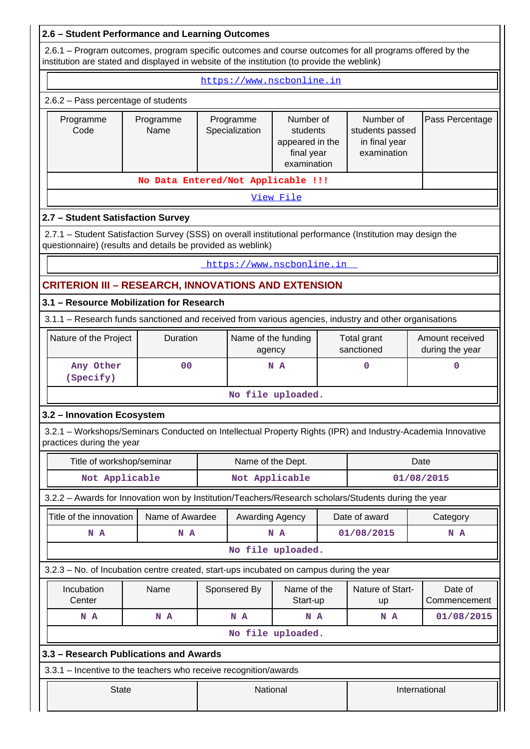## **2.6 – Student Performance and Learning Outcomes**

 2.6.1 – Program outcomes, program specific outcomes and course outcomes for all programs offered by the institution are stated and displayed in website of the institution (to provide the weblink)

|                                                                                                                                                                           | https://www.nscbonline.in          |                                                                                                      |                               |                           |                                                              |                           |                                    |  |  |
|---------------------------------------------------------------------------------------------------------------------------------------------------------------------------|------------------------------------|------------------------------------------------------------------------------------------------------|-------------------------------|---------------------------|--------------------------------------------------------------|---------------------------|------------------------------------|--|--|
| 2.6.2 - Pass percentage of students                                                                                                                                       |                                    |                                                                                                      |                               |                           |                                                              |                           |                                    |  |  |
| Programme<br>Code                                                                                                                                                         | Programme<br>Name                  | Number of<br>Programme<br>Specialization<br>students<br>appeared in the<br>final year<br>examination |                               |                           | Number of<br>students passed<br>in final year<br>examination | Pass Percentage           |                                    |  |  |
|                                                                                                                                                                           | No Data Entered/Not Applicable !!! |                                                                                                      |                               |                           |                                                              |                           |                                    |  |  |
|                                                                                                                                                                           | View File                          |                                                                                                      |                               |                           |                                                              |                           |                                    |  |  |
|                                                                                                                                                                           | 2.7 - Student Satisfaction Survey  |                                                                                                      |                               |                           |                                                              |                           |                                    |  |  |
| 2.7.1 - Student Satisfaction Survey (SSS) on overall institutional performance (Institution may design the<br>questionnaire) (results and details be provided as weblink) |                                    |                                                                                                      |                               |                           |                                                              |                           |                                    |  |  |
|                                                                                                                                                                           |                                    |                                                                                                      |                               | https://www.nscbonline.in |                                                              |                           |                                    |  |  |
| <b>CRITERION III - RESEARCH, INNOVATIONS AND EXTENSION</b>                                                                                                                |                                    |                                                                                                      |                               |                           |                                                              |                           |                                    |  |  |
| 3.1 - Resource Mobilization for Research                                                                                                                                  |                                    |                                                                                                      |                               |                           |                                                              |                           |                                    |  |  |
| 3.1.1 - Research funds sanctioned and received from various agencies, industry and other organisations                                                                    |                                    |                                                                                                      |                               |                           |                                                              |                           |                                    |  |  |
| Nature of the Project                                                                                                                                                     | Duration                           |                                                                                                      | Name of the funding<br>agency |                           |                                                              | Total grant<br>sanctioned | Amount received<br>during the year |  |  |
| Any Other<br>(Specify)                                                                                                                                                    | 0 <sub>0</sub>                     | 0<br>N A                                                                                             |                               |                           |                                                              | 0                         |                                    |  |  |
|                                                                                                                                                                           | No file uploaded.                  |                                                                                                      |                               |                           |                                                              |                           |                                    |  |  |
| 3.2 - Innovation Ecosystem                                                                                                                                                |                                    |                                                                                                      |                               |                           |                                                              |                           |                                    |  |  |
| 3.2.1 - Workshops/Seminars Conducted on Intellectual Property Rights (IPR) and Industry-Academia Innovative<br>practices during the year                                  |                                    |                                                                                                      |                               |                           |                                                              |                           |                                    |  |  |
| Title of workshop/seminar                                                                                                                                                 |                                    |                                                                                                      | Name of the Dept.             |                           |                                                              |                           | Date                               |  |  |
| Not Applicable                                                                                                                                                            |                                    |                                                                                                      | Not Applicable                |                           |                                                              |                           | 01/08/2015                         |  |  |
| 3.2.2 - Awards for Innovation won by Institution/Teachers/Research scholars/Students during the year                                                                      |                                    |                                                                                                      |                               |                           |                                                              |                           |                                    |  |  |
| Title of the innovation                                                                                                                                                   | Name of Awardee                    |                                                                                                      | Awarding Agency               |                           |                                                              | Date of award             | Category                           |  |  |
| N A                                                                                                                                                                       | N A                                |                                                                                                      |                               | N A                       |                                                              | 01/08/2015                | N A                                |  |  |
|                                                                                                                                                                           |                                    |                                                                                                      |                               | No file uploaded.         |                                                              |                           |                                    |  |  |
| 3.2.3 - No. of Incubation centre created, start-ups incubated on campus during the year                                                                                   |                                    |                                                                                                      |                               |                           |                                                              |                           |                                    |  |  |
| Incubation<br>Center                                                                                                                                                      | Name                               |                                                                                                      | Sponsered By                  | Name of the<br>Start-up   |                                                              | Nature of Start-<br>up    | Date of<br>Commencement            |  |  |
| N A                                                                                                                                                                       | N A                                |                                                                                                      | N A                           | N A                       |                                                              | N A                       | 01/08/2015                         |  |  |
|                                                                                                                                                                           |                                    |                                                                                                      |                               | No file uploaded.         |                                                              |                           |                                    |  |  |
| 3.3 - Research Publications and Awards                                                                                                                                    |                                    |                                                                                                      |                               |                           |                                                              |                           |                                    |  |  |
| 3.3.1 - Incentive to the teachers who receive recognition/awards                                                                                                          |                                    |                                                                                                      |                               |                           |                                                              |                           |                                    |  |  |
| <b>State</b>                                                                                                                                                              |                                    |                                                                                                      | National                      |                           |                                                              |                           | International                      |  |  |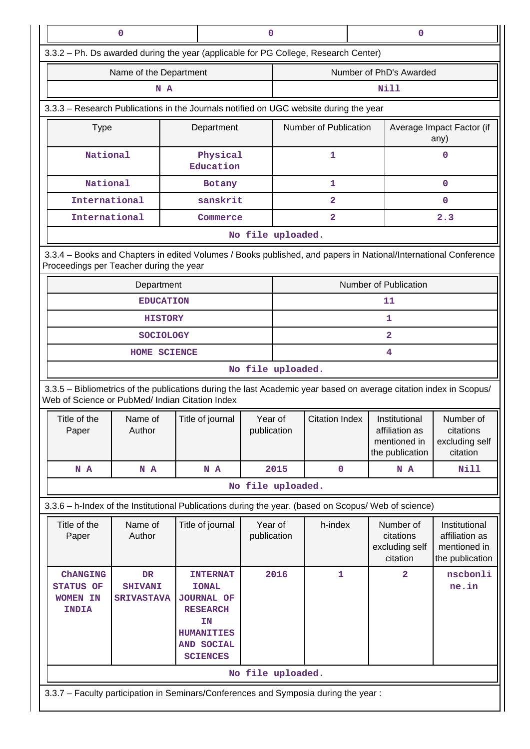|                                                                                                                                                                       | $\mathbf 0$                                                                                                                                                |                                                                                                                                     |                        |                       |                         |  | $\mathbf 0$                                                        |                                                                    |
|-----------------------------------------------------------------------------------------------------------------------------------------------------------------------|------------------------------------------------------------------------------------------------------------------------------------------------------------|-------------------------------------------------------------------------------------------------------------------------------------|------------------------|-----------------------|-------------------------|--|--------------------------------------------------------------------|--------------------------------------------------------------------|
| 3.3.2 - Ph. Ds awarded during the year (applicable for PG College, Research Center)                                                                                   |                                                                                                                                                            |                                                                                                                                     |                        |                       |                         |  |                                                                    |                                                                    |
|                                                                                                                                                                       | Name of the Department                                                                                                                                     |                                                                                                                                     |                        |                       |                         |  | Number of PhD's Awarded                                            |                                                                    |
|                                                                                                                                                                       | N A                                                                                                                                                        |                                                                                                                                     |                        |                       |                         |  | Nill                                                               |                                                                    |
| 3.3.3 - Research Publications in the Journals notified on UGC website during the year                                                                                 |                                                                                                                                                            |                                                                                                                                     |                        |                       |                         |  |                                                                    |                                                                    |
| <b>Type</b>                                                                                                                                                           |                                                                                                                                                            | Department                                                                                                                          |                        | Number of Publication |                         |  | Average Impact Factor (if<br>any)                                  |                                                                    |
| National                                                                                                                                                              |                                                                                                                                                            | Physical<br>Education                                                                                                               |                        |                       | 1                       |  |                                                                    | 0                                                                  |
|                                                                                                                                                                       | National<br>Botany                                                                                                                                         |                                                                                                                                     |                        | 1                     |                         |  | $\mathbf 0$                                                        |                                                                    |
| International                                                                                                                                                         |                                                                                                                                                            | sanskrit                                                                                                                            |                        |                       | $\overline{\mathbf{2}}$ |  |                                                                    | 0                                                                  |
| International                                                                                                                                                         |                                                                                                                                                            | Commerce                                                                                                                            |                        |                       | $\overline{\mathbf{2}}$ |  |                                                                    | 2.3                                                                |
|                                                                                                                                                                       | No file uploaded.                                                                                                                                          |                                                                                                                                     |                        |                       |                         |  |                                                                    |                                                                    |
|                                                                                                                                                                       | 3.3.4 - Books and Chapters in edited Volumes / Books published, and papers in National/International Conference<br>Proceedings per Teacher during the year |                                                                                                                                     |                        |                       |                         |  |                                                                    |                                                                    |
|                                                                                                                                                                       | Department                                                                                                                                                 |                                                                                                                                     |                        |                       |                         |  | Number of Publication                                              |                                                                    |
| <b>EDUCATION</b>                                                                                                                                                      |                                                                                                                                                            |                                                                                                                                     |                        |                       |                         |  | 11                                                                 |                                                                    |
| <b>HISTORY</b>                                                                                                                                                        |                                                                                                                                                            |                                                                                                                                     | 1                      |                       |                         |  |                                                                    |                                                                    |
|                                                                                                                                                                       | <b>SOCIOLOGY</b>                                                                                                                                           |                                                                                                                                     |                        |                       |                         |  | $\overline{2}$                                                     |                                                                    |
|                                                                                                                                                                       | 4<br>HOME SCIENCE                                                                                                                                          |                                                                                                                                     |                        |                       |                         |  |                                                                    |                                                                    |
| No file uploaded.                                                                                                                                                     |                                                                                                                                                            |                                                                                                                                     |                        |                       |                         |  |                                                                    |                                                                    |
| 3.3.5 - Bibliometrics of the publications during the last Academic year based on average citation index in Scopus/<br>Web of Science or PubMed/ Indian Citation Index |                                                                                                                                                            |                                                                                                                                     |                        |                       |                         |  |                                                                    |                                                                    |
| Title of the<br>Paper                                                                                                                                                 | Name of<br>Author                                                                                                                                          | Title of journal                                                                                                                    | Year of<br>publication |                       | Citation Index          |  | Institutional<br>affiliation as<br>mentioned in<br>the publication | Number of<br>citations<br>excluding self<br>citation               |
| N A                                                                                                                                                                   | N A                                                                                                                                                        | N A                                                                                                                                 |                        | 2015                  | $\mathbf 0$             |  | N A                                                                | Nill                                                               |
|                                                                                                                                                                       |                                                                                                                                                            |                                                                                                                                     |                        | No file uploaded.     |                         |  |                                                                    |                                                                    |
| 3.3.6 - h-Index of the Institutional Publications during the year. (based on Scopus/ Web of science)                                                                  |                                                                                                                                                            |                                                                                                                                     |                        |                       |                         |  |                                                                    |                                                                    |
| Title of the<br>Paper                                                                                                                                                 | Name of<br>Author                                                                                                                                          | Title of journal                                                                                                                    | Year of<br>publication |                       | h-index                 |  | Number of<br>citations<br>excluding self<br>citation               | Institutional<br>affiliation as<br>mentioned in<br>the publication |
| <b>ChANGING</b><br><b>STATUS OF</b><br><b>WOMEN IN</b><br><b>INDIA</b>                                                                                                | <b>DR</b><br><b>SHIVANI</b><br><b>SRIVASTAVA</b>                                                                                                           | <b>INTERNAT</b><br><b>IONAL</b><br><b>JOURNAL OF</b><br><b>RESEARCH</b><br>ΙN<br><b>HUMANITIES</b><br>AND SOCIAL<br><b>SCIENCES</b> | 2016                   |                       | 1                       |  | $\overline{\mathbf{2}}$                                            | nscbonli<br>ne.in                                                  |
|                                                                                                                                                                       |                                                                                                                                                            |                                                                                                                                     |                        | No file uploaded.     |                         |  |                                                                    |                                                                    |
| 3.3.7 - Faculty participation in Seminars/Conferences and Symposia during the year:                                                                                   |                                                                                                                                                            |                                                                                                                                     |                        |                       |                         |  |                                                                    |                                                                    |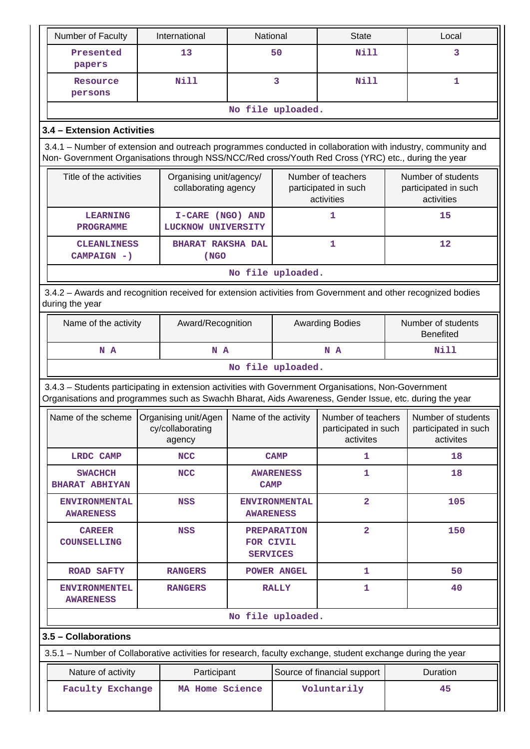| Number of Faculty                                                                                                                                                                                                  |  | International                                      | National                        |                                                          | <b>State</b>                                            |      | Local                                                    |  |
|--------------------------------------------------------------------------------------------------------------------------------------------------------------------------------------------------------------------|--|----------------------------------------------------|---------------------------------|----------------------------------------------------------|---------------------------------------------------------|------|----------------------------------------------------------|--|
| Presented<br>papers                                                                                                                                                                                                |  | 13                                                 |                                 | 50                                                       | Nill                                                    |      | 3                                                        |  |
| Resource<br>persons                                                                                                                                                                                                |  | Nill                                               |                                 | 3                                                        | <b>Nill</b>                                             |      | $\mathbf{1}$                                             |  |
|                                                                                                                                                                                                                    |  |                                                    |                                 | No file uploaded.                                        |                                                         |      |                                                          |  |
| 3.4 - Extension Activities                                                                                                                                                                                         |  |                                                    |                                 |                                                          |                                                         |      |                                                          |  |
| 3.4.1 – Number of extension and outreach programmes conducted in collaboration with industry, community and<br>Non- Government Organisations through NSS/NCC/Red cross/Youth Red Cross (YRC) etc., during the year |  |                                                    |                                 |                                                          |                                                         |      |                                                          |  |
| Title of the activities                                                                                                                                                                                            |  | Organising unit/agency/<br>collaborating agency    |                                 | Number of teachers<br>participated in such<br>activities |                                                         |      | Number of students<br>participated in such<br>activities |  |
| <b>LEARNING</b><br><b>PROGRAMME</b>                                                                                                                                                                                |  | I-CARE (NGO) AND<br>LUCKNOW UNIVERSITY             |                                 |                                                          | 1                                                       |      | 15                                                       |  |
| <b>CLEANLINESS</b><br>CAMPAIGN - )                                                                                                                                                                                 |  | <b>BHARAT RAKSHA DAL</b><br>(NGO                   |                                 |                                                          | $\mathbf{1}$                                            |      | 12                                                       |  |
|                                                                                                                                                                                                                    |  |                                                    |                                 | No file uploaded.                                        |                                                         |      |                                                          |  |
| 3.4.2 - Awards and recognition received for extension activities from Government and other recognized bodies<br>during the year                                                                                    |  |                                                    |                                 |                                                          |                                                         |      |                                                          |  |
| Name of the activity                                                                                                                                                                                               |  |                                                    | Award/Recognition               |                                                          | <b>Awarding Bodies</b>                                  |      | Number of students<br><b>Benefited</b>                   |  |
| N A<br>N A                                                                                                                                                                                                         |  |                                                    |                                 | N A                                                      |                                                         | Nill |                                                          |  |
| No file uploaded.                                                                                                                                                                                                  |  |                                                    |                                 |                                                          |                                                         |      |                                                          |  |
| 3.4.3 - Students participating in extension activities with Government Organisations, Non-Government<br>Organisations and programmes such as Swachh Bharat, Aids Awareness, Gender Issue, etc. during the year     |  |                                                    |                                 |                                                          |                                                         |      |                                                          |  |
| Name of the scheme                                                                                                                                                                                                 |  | Organising unit/Agen<br>cy/collaborating<br>agency | Name of the activity            |                                                          | Number of teachers<br>participated in such<br>activites |      | Number of students<br>participated in such<br>activites  |  |
| <b>LRDC CAMP</b>                                                                                                                                                                                                   |  | <b>NCC</b>                                         | <b>CAMP</b>                     |                                                          | 1                                                       |      | 18                                                       |  |
| <b>SWACHCH</b><br><b>BHARAT ABHIYAN</b>                                                                                                                                                                            |  | <b>NCC</b>                                         | <b>AWARENESS</b><br><b>CAMP</b> |                                                          | $\mathbf{1}$                                            |      | 18                                                       |  |
| <b>ENVIRONMENTAL</b><br><b>AWARENESS</b>                                                                                                                                                                           |  | <b>NSS</b>                                         | <b>AWARENESS</b>                | <b>ENVIRONMENTAL</b>                                     | $\overline{2}$                                          |      | 105                                                      |  |
| <b>CAREER</b><br><b>COUNSELLING</b>                                                                                                                                                                                |  | <b>NSS</b>                                         | FOR CIVIL<br><b>SERVICES</b>    | <b>PREPARATION</b>                                       | $\overline{\mathbf{2}}$                                 |      | 150                                                      |  |
| <b>ROAD SAFTY</b>                                                                                                                                                                                                  |  | <b>RANGERS</b>                                     |                                 | POWER ANGEL                                              | 1                                                       |      | 50                                                       |  |
| <b>ENVIRONMENTEL</b><br><b>AWARENESS</b>                                                                                                                                                                           |  | <b>RANGERS</b>                                     |                                 | <b>RALLY</b>                                             | 1                                                       |      | 40                                                       |  |
| No file uploaded.                                                                                                                                                                                                  |  |                                                    |                                 |                                                          |                                                         |      |                                                          |  |
| 3.5 - Collaborations                                                                                                                                                                                               |  |                                                    |                                 |                                                          |                                                         |      |                                                          |  |
| 3.5.1 – Number of Collaborative activities for research, faculty exchange, student exchange during the year                                                                                                        |  |                                                    |                                 |                                                          |                                                         |      |                                                          |  |
| Nature of activity                                                                                                                                                                                                 |  | Participant                                        |                                 | Source of financial support                              | Duration                                                |      |                                                          |  |
| <b>Faculty Exchange</b>                                                                                                                                                                                            |  |                                                    | MA Home Science                 |                                                          | Voluntarily                                             |      | 45                                                       |  |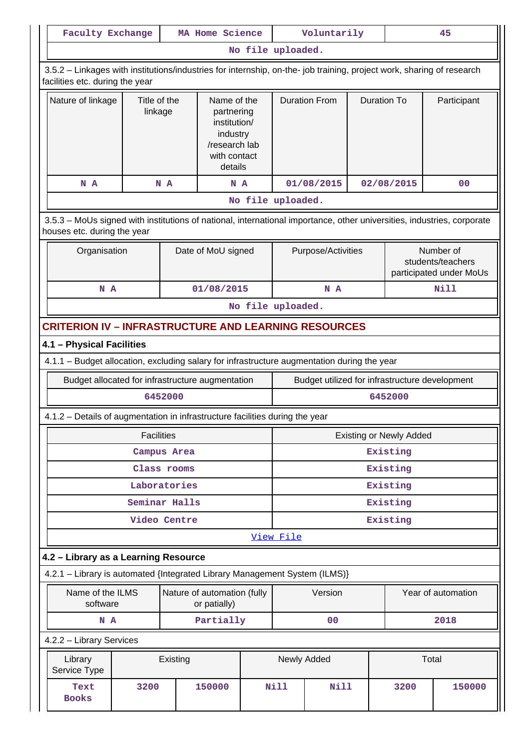| <b>Faculty Exchange</b>                                                                                                                                  |                   |                         | MA Home Science                             |                                                                                                   | Voluntarily                    |                      | 45                 |                                                           |                                                |
|----------------------------------------------------------------------------------------------------------------------------------------------------------|-------------------|-------------------------|---------------------------------------------|---------------------------------------------------------------------------------------------------|--------------------------------|----------------------|--------------------|-----------------------------------------------------------|------------------------------------------------|
|                                                                                                                                                          |                   |                         |                                             | No file uploaded.                                                                                 |                                |                      |                    |                                                           |                                                |
| 3.5.2 - Linkages with institutions/industries for internship, on-the- job training, project work, sharing of research<br>facilities etc. during the year |                   |                         |                                             |                                                                                                   |                                |                      |                    |                                                           |                                                |
| Nature of linkage                                                                                                                                        |                   | Title of the<br>linkage |                                             | Name of the<br>partnering<br>institution/<br>industry<br>/research lab<br>with contact<br>details |                                | <b>Duration From</b> | <b>Duration To</b> |                                                           | Participant                                    |
| N A                                                                                                                                                      |                   | N A                     | N A                                         |                                                                                                   |                                | 01/08/2015           |                    | 02/08/2015                                                | 0 <sub>0</sub>                                 |
|                                                                                                                                                          |                   |                         |                                             | No file uploaded.                                                                                 |                                |                      |                    |                                                           |                                                |
| 3.5.3 - MoUs signed with institutions of national, international importance, other universities, industries, corporate<br>houses etc. during the year    |                   |                         |                                             |                                                                                                   |                                |                      |                    |                                                           |                                                |
| Organisation                                                                                                                                             |                   | Date of MoU signed      |                                             |                                                                                                   | Purpose/Activities             |                      |                    | Number of<br>students/teachers<br>participated under MoUs |                                                |
| N A                                                                                                                                                      |                   |                         | 01/08/2015                                  |                                                                                                   |                                | N A                  |                    |                                                           | <b>Nill</b>                                    |
|                                                                                                                                                          |                   |                         |                                             | No file uploaded.                                                                                 |                                |                      |                    |                                                           |                                                |
| <b>CRITERION IV - INFRASTRUCTURE AND LEARNING RESOURCES</b>                                                                                              |                   |                         |                                             |                                                                                                   |                                |                      |                    |                                                           |                                                |
| 4.1 - Physical Facilities                                                                                                                                |                   |                         |                                             |                                                                                                   |                                |                      |                    |                                                           |                                                |
| 4.1.1 - Budget allocation, excluding salary for infrastructure augmentation during the year                                                              |                   |                         |                                             |                                                                                                   |                                |                      |                    |                                                           |                                                |
| Budget allocated for infrastructure augmentation                                                                                                         |                   |                         |                                             |                                                                                                   |                                |                      |                    |                                                           | Budget utilized for infrastructure development |
|                                                                                                                                                          |                   | 6452000                 |                                             |                                                                                                   |                                |                      |                    | 6452000                                                   |                                                |
| 4.1.2 – Details of augmentation in infrastructure facilities during the year                                                                             |                   |                         |                                             |                                                                                                   |                                |                      |                    |                                                           |                                                |
|                                                                                                                                                          | <b>Facilities</b> |                         |                                             |                                                                                                   | <b>Existing or Newly Added</b> |                      |                    |                                                           |                                                |
|                                                                                                                                                          |                   | Campus Area             |                                             |                                                                                                   | Existing                       |                      |                    |                                                           |                                                |
|                                                                                                                                                          |                   | Class rooms             |                                             |                                                                                                   | Existing                       |                      |                    |                                                           |                                                |
|                                                                                                                                                          |                   | Laboratories            |                                             |                                                                                                   | Existing                       |                      |                    |                                                           |                                                |
|                                                                                                                                                          |                   | Seminar Halls           |                                             |                                                                                                   |                                |                      |                    | Existing                                                  |                                                |
|                                                                                                                                                          |                   | Video Centre            |                                             |                                                                                                   |                                |                      |                    | Existing                                                  |                                                |
|                                                                                                                                                          |                   |                         |                                             |                                                                                                   | View File                      |                      |                    |                                                           |                                                |
| 4.2 - Library as a Learning Resource                                                                                                                     |                   |                         |                                             |                                                                                                   |                                |                      |                    |                                                           |                                                |
| 4.2.1 - Library is automated {Integrated Library Management System (ILMS)}                                                                               |                   |                         |                                             |                                                                                                   |                                |                      |                    |                                                           |                                                |
| Name of the ILMS<br>software                                                                                                                             |                   |                         | Nature of automation (fully<br>or patially) |                                                                                                   |                                | Version              |                    |                                                           | Year of automation                             |
| N A                                                                                                                                                      |                   |                         | Partially                                   |                                                                                                   |                                | 00                   |                    |                                                           | 2018                                           |
| 4.2.2 - Library Services                                                                                                                                 |                   |                         |                                             |                                                                                                   |                                |                      |                    |                                                           |                                                |
| Library<br>Service Type                                                                                                                                  |                   | Existing                |                                             |                                                                                                   | Newly Added                    |                      | Total              |                                                           |                                                |
| Text<br><b>Books</b>                                                                                                                                     | 3200              |                         | 150000                                      |                                                                                                   | <b>Nill</b>                    | Nill                 |                    | 3200                                                      | 150000                                         |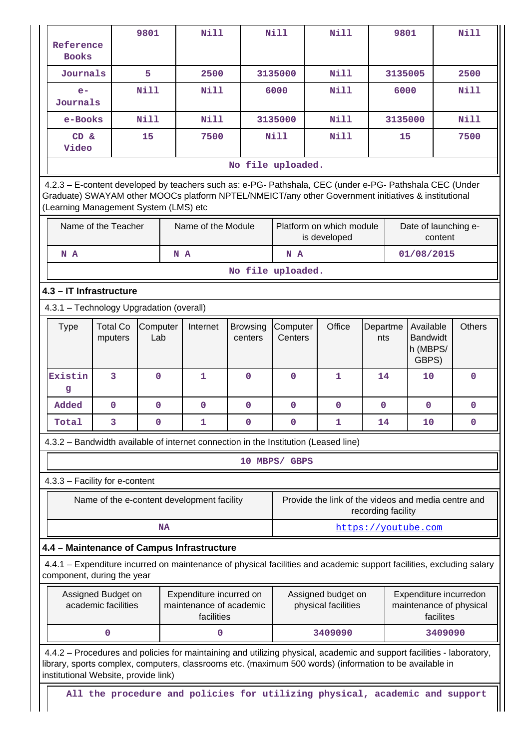| Reference<br><b>Books</b>                                                                                                                                                                                                                               |                                                                                                               | 9801            |           | <b>Nill</b>                                |                                           | Nill                | <b>Nill</b>                                                                                                           |                      | 9801      |                                                   |         | Nill          |
|---------------------------------------------------------------------------------------------------------------------------------------------------------------------------------------------------------------------------------------------------------|---------------------------------------------------------------------------------------------------------------|-----------------|-----------|--------------------------------------------|-------------------------------------------|---------------------|-----------------------------------------------------------------------------------------------------------------------|----------------------|-----------|---------------------------------------------------|---------|---------------|
| Journals                                                                                                                                                                                                                                                |                                                                                                               | 5               |           | 2500                                       |                                           | 3135000             | <b>Nill</b>                                                                                                           |                      | 3135005   |                                                   |         | 2500          |
| $e-$<br>Journals                                                                                                                                                                                                                                        |                                                                                                               | <b>Nill</b>     |           | <b>Nill</b>                                |                                           | 6000                | <b>Nill</b>                                                                                                           |                      | 6000      |                                                   |         | Nill          |
| e-Books                                                                                                                                                                                                                                                 |                                                                                                               | Nill            |           | Nill                                       |                                           | 3135000             | <b>Nill</b>                                                                                                           |                      | 3135000   |                                                   |         | <b>Nill</b>   |
| CD &<br>Video                                                                                                                                                                                                                                           |                                                                                                               | 15              |           | 7500                                       |                                           | <b>Nill</b>         | <b>Nill</b>                                                                                                           |                      | 15        |                                                   |         | 7500          |
|                                                                                                                                                                                                                                                         |                                                                                                               |                 |           |                                            | No file uploaded.                         |                     |                                                                                                                       |                      |           |                                                   |         |               |
| 4.2.3 - E-content developed by teachers such as: e-PG- Pathshala, CEC (under e-PG- Pathshala CEC (Under<br>Graduate) SWAYAM other MOOCs platform NPTEL/NMEICT/any other Government initiatives & institutional<br>(Learning Management System (LMS) etc |                                                                                                               |                 |           |                                            |                                           |                     |                                                                                                                       |                      |           |                                                   |         |               |
| Name of the Teacher<br>Name of the Module                                                                                                                                                                                                               |                                                                                                               |                 |           |                                            | Platform on which module<br>is developed  |                     |                                                                                                                       | Date of launching e- | content   |                                                   |         |               |
| N A                                                                                                                                                                                                                                                     |                                                                                                               |                 |           | N A                                        |                                           | N A                 |                                                                                                                       |                      |           | 01/08/2015                                        |         |               |
|                                                                                                                                                                                                                                                         |                                                                                                               |                 |           |                                            | No file uploaded.                         |                     |                                                                                                                       |                      |           |                                                   |         |               |
| 4.3 - IT Infrastructure                                                                                                                                                                                                                                 |                                                                                                               |                 |           |                                            |                                           |                     |                                                                                                                       |                      |           |                                                   |         |               |
| 4.3.1 - Technology Upgradation (overall)                                                                                                                                                                                                                |                                                                                                               |                 |           |                                            |                                           |                     |                                                                                                                       |                      |           |                                                   |         |               |
| <b>Type</b>                                                                                                                                                                                                                                             | <b>Total Co</b><br>mputers                                                                                    | Computer<br>Lab |           | Internet                                   | <b>Browsing</b><br>centers                | Computer<br>Centers | Office                                                                                                                | Departme<br>nts      |           | Available<br><b>Bandwidt</b><br>h (MBPS/<br>GBPS) |         | <b>Others</b> |
| Existin<br>g                                                                                                                                                                                                                                            | 3                                                                                                             | $\mathbf{0}$    |           | $\mathbf{1}$                               | $\mathbf{0}$                              | $\mathbf{0}$        | $\mathbf{1}$                                                                                                          | 14                   |           | 10                                                |         | $\mathbf{0}$  |
| Added                                                                                                                                                                                                                                                   | $\mathbf 0$                                                                                                   | $\mathbf{0}$    |           | $\mathbf 0$                                | $\mathbf 0$                               | 0                   | 0                                                                                                                     | $\mathbf 0$          |           | $\mathbf 0$                                       |         | 0             |
| Total                                                                                                                                                                                                                                                   | 3                                                                                                             | $\Omega$        |           | 1                                          | $\Omega$                                  | 0                   | 1                                                                                                                     | 14                   |           | 10 <sup>1</sup>                                   |         | 0             |
|                                                                                                                                                                                                                                                         |                                                                                                               |                 |           |                                            |                                           |                     | 4.3.2 - Bandwidth available of internet connection in the Institution (Leased line)                                   |                      |           |                                                   |         |               |
|                                                                                                                                                                                                                                                         |                                                                                                               |                 |           |                                            |                                           | 10 MBPS/ GBPS       |                                                                                                                       |                      |           |                                                   |         |               |
| 4.3.3 - Facility for e-content                                                                                                                                                                                                                          |                                                                                                               |                 |           |                                            |                                           |                     |                                                                                                                       |                      |           |                                                   |         |               |
|                                                                                                                                                                                                                                                         |                                                                                                               |                 |           | Name of the e-content development facility |                                           |                     | Provide the link of the videos and media centre and                                                                   | recording facility   |           |                                                   |         |               |
|                                                                                                                                                                                                                                                         |                                                                                                               |                 | <b>NA</b> |                                            |                                           |                     |                                                                                                                       |                      |           | https://youtube.com                               |         |               |
| 4.4 - Maintenance of Campus Infrastructure                                                                                                                                                                                                              |                                                                                                               |                 |           |                                            |                                           |                     |                                                                                                                       |                      |           |                                                   |         |               |
| component, during the year                                                                                                                                                                                                                              |                                                                                                               |                 |           |                                            |                                           |                     | 4.4.1 - Expenditure incurred on maintenance of physical facilities and academic support facilities, excluding salary  |                      |           |                                                   |         |               |
|                                                                                                                                                                                                                                                         | Expenditure incurred on<br>Assigned Budget on<br>academic facilities<br>maintenance of academic<br>facilities |                 |           |                                            | Assigned budget on<br>physical facilities |                     |                                                                                                                       |                      | facilites | Expenditure incurredon<br>maintenance of physical |         |               |
|                                                                                                                                                                                                                                                         | $\mathbf 0$                                                                                                   |                 |           | 0                                          |                                           |                     | 3409090                                                                                                               |                      |           |                                                   | 3409090 |               |
| library, sports complex, computers, classrooms etc. (maximum 500 words) (information to be available in<br>institutional Website, provide link)                                                                                                         |                                                                                                               |                 |           |                                            |                                           |                     | 4.4.2 – Procedures and policies for maintaining and utilizing physical, academic and support facilities - laboratory, |                      |           |                                                   |         |               |
|                                                                                                                                                                                                                                                         |                                                                                                               |                 |           |                                            |                                           |                     | All the procedure and policies for utilizing physical, academic and support                                           |                      |           |                                                   |         |               |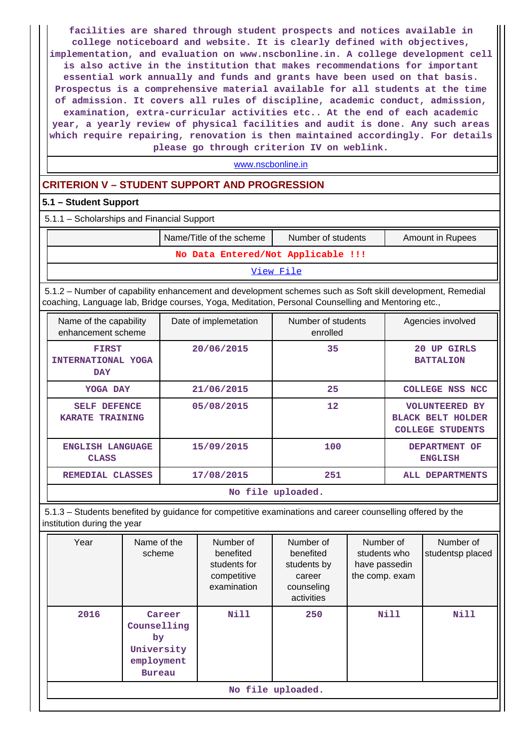**facilities are shared through student prospects and notices available in college noticeboard and website. It is clearly defined with objectives, implementation, and evaluation on www.nscbonline.in. A college development cell is also active in the institution that makes recommendations for important essential work annually and funds and grants have been used on that basis. Prospectus is a comprehensive material available for all students at the time of admission. It covers all rules of discipline, academic conduct, admission, examination, extra-curricular activities etc.. At the end of each academic year, a yearly review of physical facilities and audit is done. Any such areas which require repairing, renovation is then maintained accordingly. For details please go through criterion IV on weblink.**

<www.nscbonline.in>

## **CRITERION V – STUDENT SUPPORT AND PROGRESSION**

### **5.1 – Student Support**

5.1.1 – Scholarships and Financial Support

|                                    | Name/Title of the scheme | Number of students | Amount in Rupees |  |  |  |
|------------------------------------|--------------------------|--------------------|------------------|--|--|--|
| No Data Entered/Not Applicable !!! |                          |                    |                  |  |  |  |

[View File](https://assessmentonline.naac.gov.in/public/Postacc/Scholarships/6083_Scholarships_1600193102.xlsx)

 5.1.2 – Number of capability enhancement and development schemes such as Soft skill development, Remedial coaching, Language lab, Bridge courses, Yoga, Meditation, Personal Counselling and Mentoring etc.,

| Name of the capability<br>enhancement scheme                                                       | Date of implemetation | Number of students<br>enrolled | Agencies involved                                                            |  |  |
|----------------------------------------------------------------------------------------------------|-----------------------|--------------------------------|------------------------------------------------------------------------------|--|--|
| <b>FIRST</b><br><b>INTERNATIONAL YOGA</b><br><b>DAY</b>                                            | 20/06/2015            | 35                             | 20<br><b>UP GIRLS</b><br><b>BATTALION</b>                                    |  |  |
| YOGA DAY                                                                                           | 21/06/2015            | 25                             | COLLEGE NSS NCC                                                              |  |  |
| <b>SELF</b><br><b>DEFENCE</b><br><b>KARATE TRAINING</b>                                            | 05/08/2015            | $12 \overline{ }$              | <b>VOLUNTEERED BY</b><br><b>BLACK BELT HOLDER</b><br><b>COLLEGE STUDENTS</b> |  |  |
| 15/09/2015<br>100<br>ENGLISH LANGUAGE<br><b>DEPARTMENT</b><br>OF<br><b>CLASS</b><br><b>ENGLISH</b> |                       |                                |                                                                              |  |  |
| <b>REMEDIAL</b><br><b>CLASSES</b>                                                                  | 17/08/2015            | 251                            | ALL DEPARTMENTS                                                              |  |  |
|                                                                                                    |                       | No file uploaded.              |                                                                              |  |  |

 5.1.3 – Students benefited by guidance for competitive examinations and career counselling offered by the institution during the year

| Year | Name of the<br>scheme                                                    | Number of<br>benefited<br>students for<br>competitive<br>examination | Number of<br>benefited<br>students by<br>career<br>counseling<br>activities | Number of<br>students who<br>have passedin<br>the comp. exam | Number of<br>studentsp placed |  |  |
|------|--------------------------------------------------------------------------|----------------------------------------------------------------------|-----------------------------------------------------------------------------|--------------------------------------------------------------|-------------------------------|--|--|
| 2016 | Career<br>Counselling<br>by<br>University<br>employment<br><b>Bureau</b> | Nill                                                                 | 250                                                                         | Nill                                                         | Nill                          |  |  |
|      | No file uploaded.                                                        |                                                                      |                                                                             |                                                              |                               |  |  |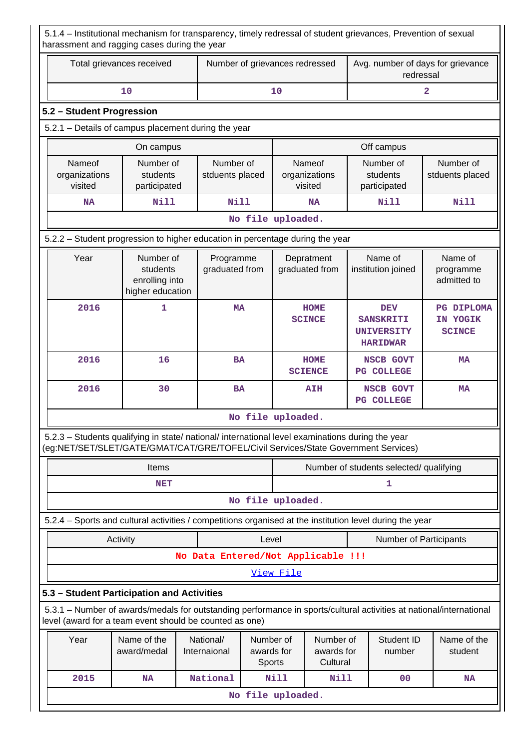5.1.4 – Institutional mechanism for transparency, timely redressal of student grievances, Prevention of sexual harassment and ragging cases during the year

| Total grievances received | Number of grievances redressed | Avg. number of days for grievance<br>redressal |
|---------------------------|--------------------------------|------------------------------------------------|
| 10                        | 1 C                            |                                                |
| 5.2 – Student Progression |                                |                                                |

### 5.2.1 – Details of campus placement during the year

|                                                        | On campus                             |                              | Off campus                         |                                       |                              |  |  |
|--------------------------------------------------------|---------------------------------------|------------------------------|------------------------------------|---------------------------------------|------------------------------|--|--|
| Nameof<br>organizations<br>visited                     | Number of<br>students<br>participated | Number of<br>stduents placed | Nameof<br>organizations<br>visited | Number of<br>students<br>participated | Number of<br>stduents placed |  |  |
| Nill<br>Nill<br>Nill<br>Nill<br><b>NA</b><br><b>NA</b> |                                       |                              |                                    |                                       |                              |  |  |
|                                                        | No file uploaded.                     |                              |                                    |                                       |                              |  |  |

## 5.2.2 – Student progression to higher education in percentage during the year

| Year | Number of<br>students<br>enrolling into<br>higher education | Programme<br>graduated from | Depratment<br>graduated from  | Name of<br>institution joined                                          | Name of<br>programme<br>admitted to            |
|------|-------------------------------------------------------------|-----------------------------|-------------------------------|------------------------------------------------------------------------|------------------------------------------------|
| 2016 |                                                             | <b>MA</b>                   | <b>HOME</b><br><b>SCINCE</b>  | <b>DEV</b><br><b>SANSKRITI</b><br><b>UNIVERSITY</b><br><b>HARIDWAR</b> | <b>PG DIPLOMA</b><br>IN YOGIK<br><b>SCINCE</b> |
| 2016 | 16                                                          | <b>BA</b>                   | <b>HOME</b><br><b>SCIENCE</b> | NSCB GOVT<br><b>COLLEGE</b><br>$_{\rm PG}$                             | MA                                             |
| 2016 | 30                                                          | <b>BA</b>                   | <b>AIH</b>                    | NSCB GOVT<br><b>COLLEGE</b><br>$_{\rm PG}$                             | <b>MA</b>                                      |
|      |                                                             |                             | No file uploaded.             |                                                                        |                                                |

 5.2.3 – Students qualifying in state/ national/ international level examinations during the year (eg:NET/SET/SLET/GATE/GMAT/CAT/GRE/TOFEL/Civil Services/State Government Services)

| Items             | Number of students selected/ qualifying |  |  |  |  |
|-------------------|-----------------------------------------|--|--|--|--|
| NET               |                                         |  |  |  |  |
| No file uploaded. |                                         |  |  |  |  |

5.2.4 – Sports and cultural activities / competitions organised at the institution level during the year

Activity **Activity Level** Level **Number of Participants** 

**No Data Entered/Not Applicable !!!**

[View File](https://assessmentonline.naac.gov.in/public/Postacc/Activities_Organised/6083_Activities_Organised_1600195040.xlsx)

## **5.3 – Student Participation and Activities**

 5.3.1 – Number of awards/medals for outstanding performance in sports/cultural activities at national/international level (award for a team event should be counted as one)

| Year | Name of the<br>award/medal | National/<br>Internaional | Number of<br>awards for<br><b>Sports</b> | Number of<br>awards for<br>Cultural | Student ID<br>number | Name of the<br>student |  |
|------|----------------------------|---------------------------|------------------------------------------|-------------------------------------|----------------------|------------------------|--|
| 2015 | <b>NA</b>                  | National                  | Nill                                     | Nill                                | 00                   | <b>NA</b>              |  |
|      | No file uploaded.          |                           |                                          |                                     |                      |                        |  |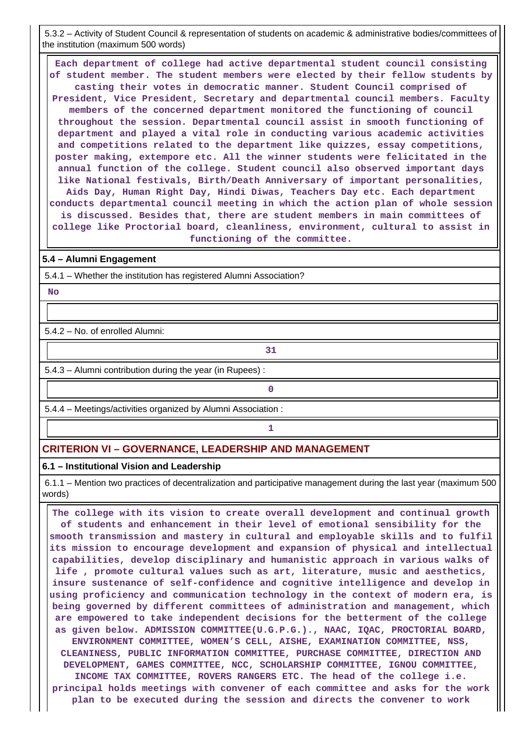5.3.2 – Activity of Student Council & representation of students on academic & administrative bodies/committees of the institution (maximum 500 words)

 **Each department of college had active departmental student council consisting of student member. The student members were elected by their fellow students by casting their votes in democratic manner. Student Council comprised of President, Vice President, Secretary and departmental council members. Faculty members of the concerned department monitored the functioning of council throughout the session. Departmental council assist in smooth functioning of department and played a vital role in conducting various academic activities and competitions related to the department like quizzes, essay competitions, poster making, extempore etc. All the winner students were felicitated in the annual function of the college. Student council also observed important days like National festivals, Birth/Death Anniversary of important personalities, Aids Day, Human Right Day, Hindi Diwas, Teachers Day etc. Each department conducts departmental council meeting in which the action plan of whole session is discussed. Besides that, there are student members in main committees of college like Proctorial board, cleanliness, environment, cultural to assist in functioning of the committee.**

#### **5.4 – Alumni Engagement**

5.4.1 – Whether the institution has registered Alumni Association?

 **No**

5.4.2 – No. of enrolled Alumni:

5.4.3 – Alumni contribution during the year (in Rupees) :

**31** 

5.4.4 – Meetings/activities organized by Alumni Association :

**0**

**1 1 1** 

## **CRITERION VI – GOVERNANCE, LEADERSHIP AND MANAGEMENT**

#### **6.1 – Institutional Vision and Leadership**

 6.1.1 – Mention two practices of decentralization and participative management during the last year (maximum 500 words)

 **The college with its vision to create overall development and continual growth of students and enhancement in their level of emotional sensibility for the smooth transmission and mastery in cultural and employable skills and to fulfil its mission to encourage development and expansion of physical and intellectual capabilities, develop disciplinary and humanistic approach in various walks of life , promote cultural values such as art, literature, music and aesthetics, insure sustenance of self-confidence and cognitive intelligence and develop in using proficiency and communication technology in the context of modern era, is being governed by different committees of administration and management, which are empowered to take independent decisions for the betterment of the college as given below. ADMISSION COMMITTEE(U.G.P.G.)., NAAC, IQAC, PROCTORIAL BOARD, ENVIRONMENT COMMITTEE, WOMEN'S CELL, AISHE, EXAMINATION COMMITTEE, NSS, CLEANINESS, PUBLIC INFORMATION COMMITTEE, PURCHASE COMMITTEE, DIRECTION AND DEVELOPMENT, GAMES COMMITTEE, NCC, SCHOLARSHIP COMMITTEE, IGNOU COMMITTEE, INCOME TAX COMMITTEE, ROVERS RANGERS ETC. The head of the college i.e. principal holds meetings with convener of each committee and asks for the work plan to be executed during the session and directs the convener to work**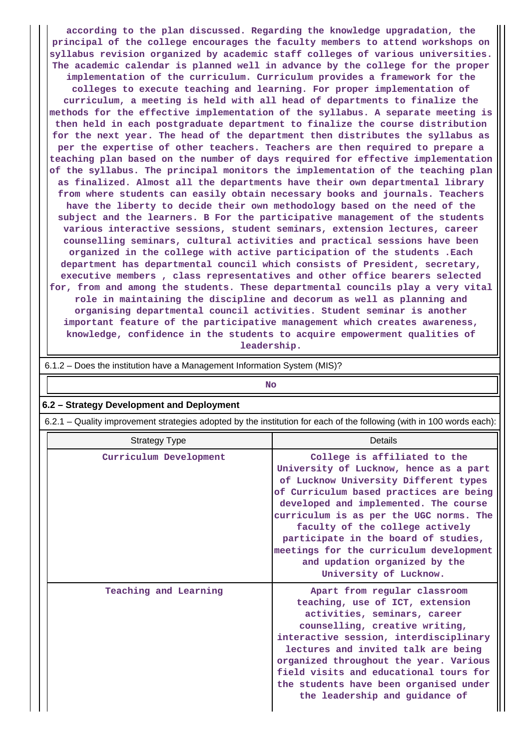**according to the plan discussed. Regarding the knowledge upgradation, the principal of the college encourages the faculty members to attend workshops on syllabus revision organized by academic staff colleges of various universities. The academic calendar is planned well in advance by the college for the proper implementation of the curriculum. Curriculum provides a framework for the colleges to execute teaching and learning. For proper implementation of curriculum, a meeting is held with all head of departments to finalize the methods for the effective implementation of the syllabus. A separate meeting is then held in each postgraduate department to finalize the course distribution for the next year. The head of the department then distributes the syllabus as per the expertise of other teachers. Teachers are then required to prepare a teaching plan based on the number of days required for effective implementation of the syllabus. The principal monitors the implementation of the teaching plan as finalized. Almost all the departments have their own departmental library from where students can easily obtain necessary books and journals. Teachers have the liberty to decide their own methodology based on the need of the subject and the learners. B For the participative management of the students various interactive sessions, student seminars, extension lectures, career counselling seminars, cultural activities and practical sessions have been organized in the college with active participation of the students .Each department has departmental council which consists of President, secretary, executive members , class representatives and other office bearers selected for, from and among the students. These departmental councils play a very vital role in maintaining the discipline and decorum as well as planning and organising departmental council activities. Student seminar is another important feature of the participative management which creates awareness, knowledge, confidence in the students to acquire empowerment qualities of leadership.**

| 6.1.2 – Does the institution have a Management Information System (MIS)?                                              |                                                                                                                                                                                                                                                                                                                                                                                                                                 |  |  |  |  |  |  |
|-----------------------------------------------------------------------------------------------------------------------|---------------------------------------------------------------------------------------------------------------------------------------------------------------------------------------------------------------------------------------------------------------------------------------------------------------------------------------------------------------------------------------------------------------------------------|--|--|--|--|--|--|
|                                                                                                                       | <b>No</b>                                                                                                                                                                                                                                                                                                                                                                                                                       |  |  |  |  |  |  |
| 6.2 - Strategy Development and Deployment                                                                             |                                                                                                                                                                                                                                                                                                                                                                                                                                 |  |  |  |  |  |  |
| 6.2.1 - Quality improvement strategies adopted by the institution for each of the following (with in 100 words each): |                                                                                                                                                                                                                                                                                                                                                                                                                                 |  |  |  |  |  |  |
| <b>Strategy Type</b>                                                                                                  | Details                                                                                                                                                                                                                                                                                                                                                                                                                         |  |  |  |  |  |  |
| Curriculum Development                                                                                                | College is affiliated to the<br>University of Lucknow, hence as a part<br>of Lucknow University Different types<br>of Curriculum based practices are being<br>developed and implemented. The course<br>curriculum is as per the UGC norms. The<br>faculty of the college actively<br>participate in the board of studies,<br>meetings for the curriculum development<br>and updation organized by the<br>University of Lucknow. |  |  |  |  |  |  |
| Teaching and Learning                                                                                                 | Apart from regular classroom<br>teaching, use of ICT, extension<br>activities, seminars, career<br>counselling, creative writing,<br>interactive session, interdisciplinary<br>lectures and invited talk are being<br>organized throughout the year. Various<br>field visits and educational tours for<br>the students have been organised under<br>the leadership and guidance of                                              |  |  |  |  |  |  |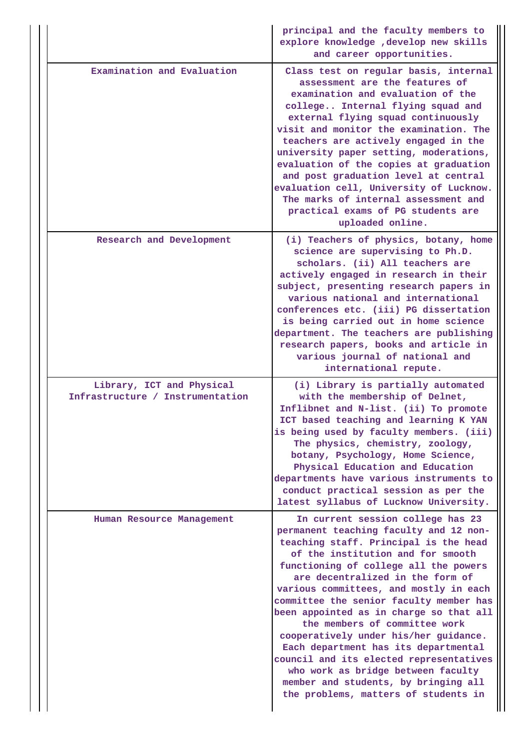|                                                               | principal and the faculty members to<br>explore knowledge , develop new skills<br>and career opportunities.                                                                                                                                                                                                                                                                                                                                                                                                                                                                                                                                               |
|---------------------------------------------------------------|-----------------------------------------------------------------------------------------------------------------------------------------------------------------------------------------------------------------------------------------------------------------------------------------------------------------------------------------------------------------------------------------------------------------------------------------------------------------------------------------------------------------------------------------------------------------------------------------------------------------------------------------------------------|
| Examination and Evaluation                                    | Class test on regular basis, internal<br>assessment are the features of<br>examination and evaluation of the<br>college Internal flying squad and<br>external flying squad continuously<br>visit and monitor the examination. The<br>teachers are actively engaged in the<br>university paper setting, moderations,<br>evaluation of the copies at graduation<br>and post graduation level at central<br>evaluation cell, University of Lucknow.<br>The marks of internal assessment and<br>practical exams of PG students are<br>uploaded online.                                                                                                        |
| Research and Development                                      | (i) Teachers of physics, botany, home<br>science are supervising to Ph.D.<br>scholars. (ii) All teachers are<br>actively engaged in research in their<br>subject, presenting research papers in<br>various national and international<br>conferences etc. (iii) PG dissertation<br>is being carried out in home science<br>department. The teachers are publishing<br>research papers, books and article in<br>various journal of national and<br>international repute.                                                                                                                                                                                   |
| Library, ICT and Physical<br>Infrastructure / Instrumentation | (i) Library is partially automated<br>with the membership of Delnet,<br>Inflibnet and N-list. (ii) To promote<br>ICT based teaching and learning K YAN<br>is being used by faculty members. (iii)<br>The physics, chemistry, zoology,<br>botany, Psychology, Home Science,<br>Physical Education and Education<br>departments have various instruments to<br>conduct practical session as per the<br>latest syllabus of Lucknow University.                                                                                                                                                                                                               |
| Human Resource Management                                     | In current session college has 23<br>permanent teaching faculty and 12 non-<br>teaching staff. Principal is the head<br>of the institution and for smooth<br>functioning of college all the powers<br>are decentralized in the form of<br>various committees, and mostly in each<br>committee the senior faculty member has<br>been appointed as in charge so that all<br>the members of committee work<br>cooperatively under his/her guidance.<br>Each department has its departmental<br>council and its elected representatives<br>who work as bridge between faculty<br>member and students, by bringing all<br>the problems, matters of students in |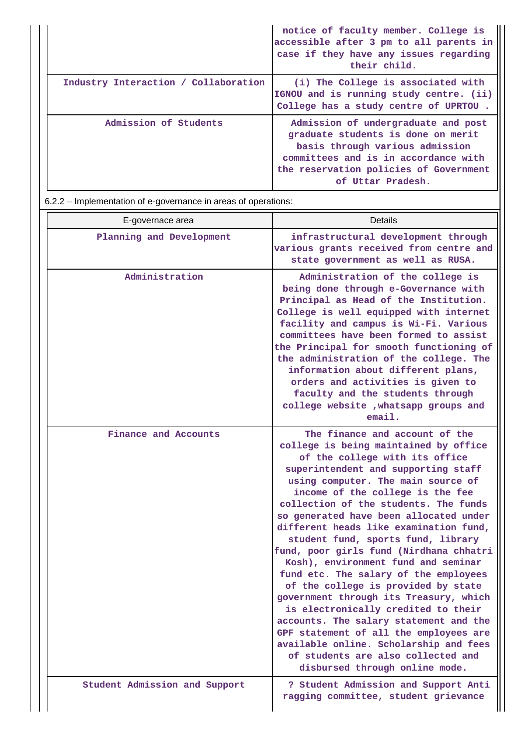|                                      | notice of faculty member. College is<br>accessible after 3 pm to all parents in<br>case if they have any issues regarding<br>their child.                                                                           |
|--------------------------------------|---------------------------------------------------------------------------------------------------------------------------------------------------------------------------------------------------------------------|
| Industry Interaction / Collaboration | (i) The College is associated with<br>IGNOU and is running study centre. (ii)<br>College has a study centre of UPRTOU.                                                                                              |
| Admission of Students                | Admission of undergraduate and post<br>graduate students is done on merit<br>basis through various admission<br>committees and is in accordance with<br>the reservation policies of Government<br>of Uttar Pradesh. |

6.2.2 – Implementation of e-governance in areas of operations:

| E-governace area              | Details                                                                                                                                                                                                                                                                                                                                                                                                                                                                                                                                                                                                                                                                                                                                                                                                                                                |
|-------------------------------|--------------------------------------------------------------------------------------------------------------------------------------------------------------------------------------------------------------------------------------------------------------------------------------------------------------------------------------------------------------------------------------------------------------------------------------------------------------------------------------------------------------------------------------------------------------------------------------------------------------------------------------------------------------------------------------------------------------------------------------------------------------------------------------------------------------------------------------------------------|
| Planning and Development      | infrastructural development through<br>various grants received from centre and<br>state government as well as RUSA.                                                                                                                                                                                                                                                                                                                                                                                                                                                                                                                                                                                                                                                                                                                                    |
| Administration                | Administration of the college is<br>being done through e-Governance with<br>Principal as Head of the Institution.<br>College is well equipped with internet<br>facility and campus is Wi-Fi. Various<br>committees have been formed to assist<br>the Principal for smooth functioning of<br>the administration of the college. The<br>information about different plans,<br>orders and activities is given to<br>faculty and the students through<br>college website , whatsapp groups and<br>email.                                                                                                                                                                                                                                                                                                                                                   |
| Finance and Accounts          | The finance and account of the<br>college is being maintained by office<br>of the college with its office<br>superintendent and supporting staff<br>using computer. The main source of<br>income of the college is the fee<br>collection of the students. The funds<br>so generated have been allocated under<br>different heads like examination fund,<br>student fund, sports fund, library<br>fund, poor girls fund (Nirdhana chhatri<br>Kosh), environment fund and seminar<br>fund etc. The salary of the employees<br>of the college is provided by state<br>government through its Treasury, which<br>is electronically credited to their<br>accounts. The salary statement and the<br>GPF statement of all the employees are<br>available online. Scholarship and fees<br>of students are also collected and<br>disbursed through online mode. |
| Student Admission and Support | ? Student Admission and Support Anti<br>ragging committee, student grievance                                                                                                                                                                                                                                                                                                                                                                                                                                                                                                                                                                                                                                                                                                                                                                           |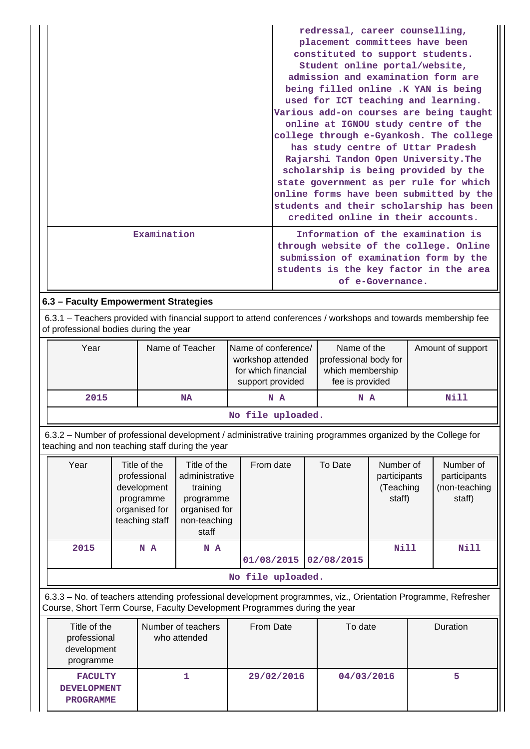|             | redressal, career counselling,<br>placement committees have been<br>constituted to support students.<br>Student online portal/website,<br>admission and examination form are<br>being filled online .K YAN is being<br>used for ICT teaching and learning.<br>Various add-on courses are being taught<br>online at IGNOU study centre of the<br>college through e-Gyankosh. The college<br>has study centre of Uttar Pradesh<br>Rajarshi Tandon Open University. The<br>scholarship is being provided by the<br>state government as per rule for which<br>online forms have been submitted by the<br>students and their scholarship has been |
|-------------|----------------------------------------------------------------------------------------------------------------------------------------------------------------------------------------------------------------------------------------------------------------------------------------------------------------------------------------------------------------------------------------------------------------------------------------------------------------------------------------------------------------------------------------------------------------------------------------------------------------------------------------------|
|             | credited online in their accounts.                                                                                                                                                                                                                                                                                                                                                                                                                                                                                                                                                                                                           |
| Examination | Information of the examination is<br>through website of the college. Online<br>submission of examination form by the<br>students is the key factor in the area<br>of e-Governance.                                                                                                                                                                                                                                                                                                                                                                                                                                                           |

## **6.3 – Faculty Empowerment Strategies**

 6.3.1 – Teachers provided with financial support to attend conferences / workshops and towards membership fee of professional bodies during the year

| Year              | Name of Teacher | Name of conference/<br>workshop attended<br>for which financial<br>support provided | Name of the<br>professional body for<br>which membership<br>fee is provided | Amount of support |  |
|-------------------|-----------------|-------------------------------------------------------------------------------------|-----------------------------------------------------------------------------|-------------------|--|
| 2015              | NA              | N A                                                                                 | N A                                                                         | Nill              |  |
| No file uploaded. |                 |                                                                                     |                                                                             |                   |  |

 6.3.2 – Number of professional development / administrative training programmes organized by the College for teaching and non teaching staff during the year

| Year | Title of the<br>professional<br>development<br>programme<br>organised for<br>teaching staff | Title of the<br>administrative<br>training<br>programme<br>organised for<br>non-teaching<br>staff | From date  | To Date    | Number of<br>participants<br>(Teaching<br>staff) | Number of<br>participants<br>(non-teaching<br>staff) |  |
|------|---------------------------------------------------------------------------------------------|---------------------------------------------------------------------------------------------------|------------|------------|--------------------------------------------------|------------------------------------------------------|--|
| 2015 | N A                                                                                         | N A                                                                                               | 01/08/2015 | 02/08/2015 | <b>Nill</b>                                      | Nill                                                 |  |
|      | No file uploaded.                                                                           |                                                                                                   |            |            |                                                  |                                                      |  |

 6.3.3 – No. of teachers attending professional development programmes, viz., Orientation Programme, Refresher Course, Short Term Course, Faculty Development Programmes during the year

| Title of the<br>professional<br>development<br>programme | Number of teachers<br>who attended | From Date  | To date    | Duration |
|----------------------------------------------------------|------------------------------------|------------|------------|----------|
| <b>FACULTY</b><br><b>DEVELOPMENT</b><br><b>PROGRAMME</b> |                                    | 29/02/2016 | 04/03/2016 | 5        |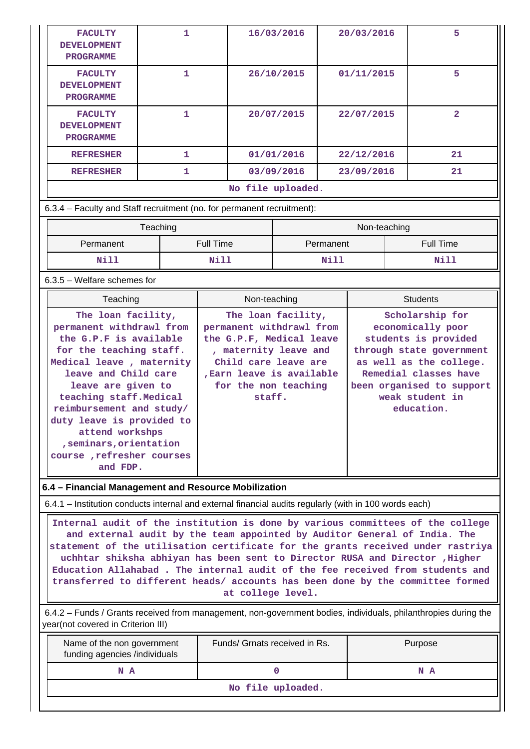| <b>FACULTY</b><br><b>DEVELOPMENT</b><br><b>PROGRAMME</b>                                                                                                                                                                                                                                                                                                                                                                                                                                                               | $\mathbf{1}$                  |                  | 16/03/2016                                                                                                                                                           |                   | 20/03/2016  |              | 5               |                                                                                                                                                                                         |
|------------------------------------------------------------------------------------------------------------------------------------------------------------------------------------------------------------------------------------------------------------------------------------------------------------------------------------------------------------------------------------------------------------------------------------------------------------------------------------------------------------------------|-------------------------------|------------------|----------------------------------------------------------------------------------------------------------------------------------------------------------------------|-------------------|-------------|--------------|-----------------|-----------------------------------------------------------------------------------------------------------------------------------------------------------------------------------------|
| <b>FACULTY</b><br><b>DEVELOPMENT</b><br><b>PROGRAMME</b>                                                                                                                                                                                                                                                                                                                                                                                                                                                               | $\mathbf{1}$                  |                  | 26/10/2015                                                                                                                                                           |                   |             | 01/11/2015   |                 | 5                                                                                                                                                                                       |
| <b>FACULTY</b><br><b>DEVELOPMENT</b><br><b>PROGRAMME</b>                                                                                                                                                                                                                                                                                                                                                                                                                                                               | 1                             |                  |                                                                                                                                                                      | 20/07/2015        |             | 22/07/2015   |                 | $\overline{2}$                                                                                                                                                                          |
| <b>REFRESHER</b>                                                                                                                                                                                                                                                                                                                                                                                                                                                                                                       | 1                             |                  |                                                                                                                                                                      | 01/01/2016        |             | 22/12/2016   |                 | 21                                                                                                                                                                                      |
| <b>REFRESHER</b>                                                                                                                                                                                                                                                                                                                                                                                                                                                                                                       | 1                             |                  |                                                                                                                                                                      | 03/09/2016        |             | 23/09/2016   |                 | 21                                                                                                                                                                                      |
|                                                                                                                                                                                                                                                                                                                                                                                                                                                                                                                        |                               |                  |                                                                                                                                                                      | No file uploaded. |             |              |                 |                                                                                                                                                                                         |
| 6.3.4 - Faculty and Staff recruitment (no. for permanent recruitment):                                                                                                                                                                                                                                                                                                                                                                                                                                                 |                               |                  |                                                                                                                                                                      |                   |             |              |                 |                                                                                                                                                                                         |
|                                                                                                                                                                                                                                                                                                                                                                                                                                                                                                                        | Teaching                      |                  |                                                                                                                                                                      |                   |             | Non-teaching |                 |                                                                                                                                                                                         |
| Permanent                                                                                                                                                                                                                                                                                                                                                                                                                                                                                                              |                               | <b>Full Time</b> |                                                                                                                                                                      |                   | Permanent   |              |                 | <b>Full Time</b>                                                                                                                                                                        |
| N11                                                                                                                                                                                                                                                                                                                                                                                                                                                                                                                    |                               | <b>Nill</b>      |                                                                                                                                                                      |                   | <b>Nill</b> |              |                 | <b>Nill</b>                                                                                                                                                                             |
| $6.3.5$ – Welfare schemes for                                                                                                                                                                                                                                                                                                                                                                                                                                                                                          |                               |                  |                                                                                                                                                                      |                   |             |              |                 |                                                                                                                                                                                         |
| Teaching<br>Non-teaching                                                                                                                                                                                                                                                                                                                                                                                                                                                                                               |                               |                  |                                                                                                                                                                      |                   |             |              | <b>Students</b> |                                                                                                                                                                                         |
| The loan facility,<br>permanent withdrawl from<br>the G.P.F is available<br>for the teaching staff.<br>Medical leave, maternity<br>leave and Child care<br>leave are given to<br>teaching staff. Medical<br>reimbursement and study/<br>duty leave is provided to<br>attend workshps<br>, seminars, orientation<br>course, refresher courses<br>and FDP.                                                                                                                                                               |                               |                  | permanent withdrawl from<br>the G.P.F, Medical leave<br>, maternity leave and<br>Child care leave are<br>, Earn leave is available<br>for the non teaching<br>staff. |                   |             |              |                 | economically poor<br>students is provided<br>through state government<br>as well as the college.<br>Remedial classes have<br>been organised to support<br>weak student in<br>education. |
| 6.4 - Financial Management and Resource Mobilization                                                                                                                                                                                                                                                                                                                                                                                                                                                                   |                               |                  |                                                                                                                                                                      |                   |             |              |                 |                                                                                                                                                                                         |
| 6.4.1 - Institution conducts internal and external financial audits regularly (with in 100 words each)                                                                                                                                                                                                                                                                                                                                                                                                                 |                               |                  |                                                                                                                                                                      |                   |             |              |                 |                                                                                                                                                                                         |
| Internal audit of the institution is done by various committees of the college<br>and external audit by the team appointed by Auditor General of India. The<br>statement of the utilisation certificate for the grants received under rastriya<br>uchhtar shiksha abhiyan has been sent to Director RUSA and Director , Higher<br>Education Allahabad. The internal audit of the fee received from students and<br>transferred to different heads/ accounts has been done by the committee formed<br>at college level. |                               |                  |                                                                                                                                                                      |                   |             |              |                 |                                                                                                                                                                                         |
| 6.4.2 - Funds / Grants received from management, non-government bodies, individuals, philanthropies during the<br>year(not covered in Criterion III)                                                                                                                                                                                                                                                                                                                                                                   |                               |                  |                                                                                                                                                                      |                   |             |              |                 |                                                                                                                                                                                         |
| Name of the non government<br>funding agencies /individuals                                                                                                                                                                                                                                                                                                                                                                                                                                                            | Funds/ Grnats received in Rs. |                  |                                                                                                                                                                      |                   |             |              |                 | Purpose                                                                                                                                                                                 |
| N A                                                                                                                                                                                                                                                                                                                                                                                                                                                                                                                    |                               |                  |                                                                                                                                                                      | $\mathbf 0$       |             |              |                 | N A                                                                                                                                                                                     |
|                                                                                                                                                                                                                                                                                                                                                                                                                                                                                                                        |                               |                  |                                                                                                                                                                      | No file uploaded. |             |              |                 |                                                                                                                                                                                         |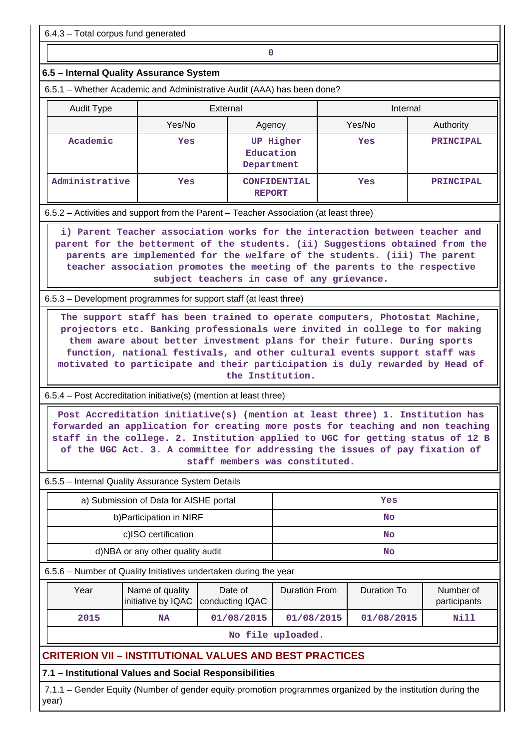6.4.3 – Total corpus fund generated

**0**

## **6.5 – Internal Quality Assurance System**

6.5.1 – Whether Academic and Administrative Audit (AAA) has been done?

| <b>Audit Type</b> | External |                                             | Internal |                  |
|-------------------|----------|---------------------------------------------|----------|------------------|
|                   | Yes/No   | Agency                                      |          | Authority        |
| Academic          | Yes      | <b>UP Higher</b><br>Education<br>Department | Yes      | <b>PRINCIPAL</b> |
| Administrative    | Yes      | <b>CONFIDENTIAL</b><br><b>REPORT</b>        | Yes      | <b>PRINCIPAL</b> |

6.5.2 – Activities and support from the Parent – Teacher Association (at least three)

 **i) Parent Teacher association works for the interaction between teacher and parent for the betterment of the students. (ii) Suggestions obtained from the parents are implemented for the welfare of the students. (iii) The parent teacher association promotes the meeting of the parents to the respective subject teachers in case of any grievance.**

6.5.3 – Development programmes for support staff (at least three)

 **The support staff has been trained to operate computers, Photostat Machine, projectors etc. Banking professionals were invited in college to for making them aware about better investment plans for their future. During sports function, national festivals, and other cultural events support staff was motivated to participate and their participation is duly rewarded by Head of the Institution.**

6.5.4 – Post Accreditation initiative(s) (mention at least three)

 **Post Accreditation initiative(s) (mention at least three) 1. Institution has forwarded an application for creating more posts for teaching and non teaching staff in the college. 2. Institution applied to UGC for getting status of 12 B of the UGC Act. 3. A committee for addressing the issues of pay fixation of staff members was constituted.**

6.5.5 – Internal Quality Assurance System Details

| a) Submission of Data for AISHE portal | Yes |
|----------------------------------------|-----|
| b) Participation in NIRF               | No  |
| c)ISO certification                    | No  |
| d)NBA or any other quality audit       | No  |

6.5.6 – Number of Quality Initiatives undertaken during the year

| Year              | Name of quality | Date of<br>initiative by IQAC   conducting IQAC | <b>Duration From</b> | Duration To | Number of<br>participants |  |  |
|-------------------|-----------------|-------------------------------------------------|----------------------|-------------|---------------------------|--|--|
| 2015              | <b>NA</b>       | 01/08/2015                                      | 01/08/2015           | 01/08/2015  | Nill                      |  |  |
| No file uploaded. |                 |                                                 |                      |             |                           |  |  |

**CRITERION VII – INSTITUTIONAL VALUES AND BEST PRACTICES**

# **7.1 – Institutional Values and Social Responsibilities**

 7.1.1 – Gender Equity (Number of gender equity promotion programmes organized by the institution during the year)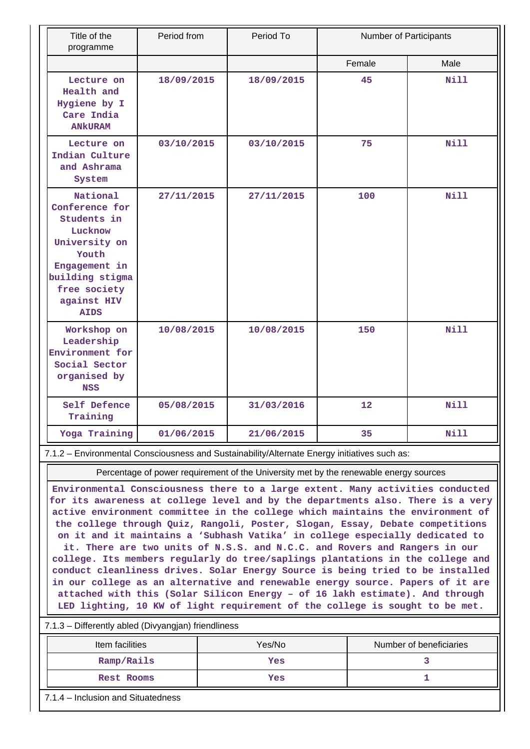| Title of the<br>programme                                                                                                                                        | Period from | Period To  | Number of Participants |             |
|------------------------------------------------------------------------------------------------------------------------------------------------------------------|-------------|------------|------------------------|-------------|
|                                                                                                                                                                  |             |            | Female                 | Male        |
| Lecture on<br>Health and<br>Hygiene by I<br>Care India<br><b>ANKURAM</b>                                                                                         | 18/09/2015  | 18/09/2015 | 45                     | Nill        |
| Lecture on<br>Indian Culture<br>and Ashrama<br>System                                                                                                            | 03/10/2015  | 03/10/2015 | 75                     | Nill        |
| National<br>Conference for<br>Students in<br>Lucknow<br>University on<br>Youth<br>Engagement in<br>building stigma<br>free society<br>against HIV<br><b>AIDS</b> | 27/11/2015  | 27/11/2015 | 100                    | Nill        |
| Workshop on<br>Leadership<br>Environment for<br>Social Sector<br>organised by<br><b>NSS</b>                                                                      | 10/08/2015  | 10/08/2015 | 150                    | Nill        |
| Self Defence<br>Training                                                                                                                                         | 05/08/2015  |            | 12                     | <b>Nill</b> |
| Yoga Training                                                                                                                                                    | 01/06/2015  | 21/06/2015 | 35                     | Nill        |

7.1.2 – Environmental Consciousness and Sustainability/Alternate Energy initiatives such as:

Percentage of power requirement of the University met by the renewable energy sources

**Environmental Consciousness there to a large extent. Many activities conducted for its awareness at college level and by the departments also. There is a very active environment committee in the college which maintains the environment of the college through Quiz, Rangoli, Poster, Slogan, Essay, Debate competitions on it and it maintains a 'Subhash Vatika' in college especially dedicated to it. There are two units of N.S.S. and N.C.C. and Rovers and Rangers in our college. Its members regularly do tree/saplings plantations in the college and conduct cleanliness drives. Solar Energy Source is being tried to be installed in our college as an alternative and renewable energy source. Papers of it are attached with this (Solar Silicon Energy – of 16 lakh estimate). And through LED lighting, 10 KW of light requirement of the college is sought to be met.**

#### 7.1.3 – Differently abled (Divyangjan) friendliness

| Item facilities | Yes/No | Number of beneficiaries |  |  |  |
|-----------------|--------|-------------------------|--|--|--|
| Ramp/Rails      | Yes    |                         |  |  |  |
| Rest Rooms      | Yes    |                         |  |  |  |

7.1.4 – Inclusion and Situatedness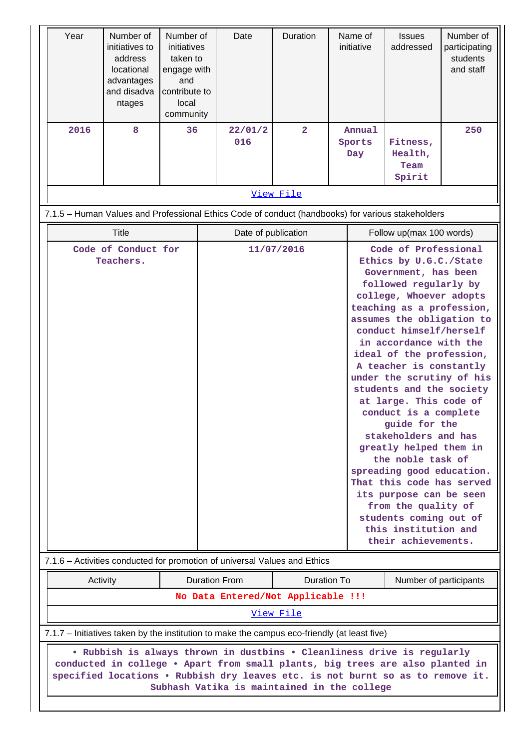| Year                                                                                                                                                                                                                                                                                      | Number of<br>initiatives to<br>address<br>locational<br>advantages<br>and disadva<br>ntages       | Number of<br>initiatives<br>taken to<br>engage with<br>and<br>contribute to<br>local<br>community |  | Date                                | Duration       |  | Name of<br>initiative                                                                                                                                                                                                                                                                                                                                                                                                                                                                                                                                                                                                                                                                     | <b>Issues</b><br>addressed            | Number of<br>participating<br>students<br>and staff |
|-------------------------------------------------------------------------------------------------------------------------------------------------------------------------------------------------------------------------------------------------------------------------------------------|---------------------------------------------------------------------------------------------------|---------------------------------------------------------------------------------------------------|--|-------------------------------------|----------------|--|-------------------------------------------------------------------------------------------------------------------------------------------------------------------------------------------------------------------------------------------------------------------------------------------------------------------------------------------------------------------------------------------------------------------------------------------------------------------------------------------------------------------------------------------------------------------------------------------------------------------------------------------------------------------------------------------|---------------------------------------|-----------------------------------------------------|
| 2016                                                                                                                                                                                                                                                                                      | 8                                                                                                 | 36                                                                                                |  | 22/01/2<br>016                      | $\overline{2}$ |  | Annual<br>Sports<br>Day                                                                                                                                                                                                                                                                                                                                                                                                                                                                                                                                                                                                                                                                   | Fitness,<br>Health,<br>Team<br>Spirit | 250                                                 |
|                                                                                                                                                                                                                                                                                           | View File                                                                                         |                                                                                                   |  |                                     |                |  |                                                                                                                                                                                                                                                                                                                                                                                                                                                                                                                                                                                                                                                                                           |                                       |                                                     |
|                                                                                                                                                                                                                                                                                           | 7.1.5 - Human Values and Professional Ethics Code of conduct (handbooks) for various stakeholders |                                                                                                   |  |                                     |                |  |                                                                                                                                                                                                                                                                                                                                                                                                                                                                                                                                                                                                                                                                                           |                                       |                                                     |
|                                                                                                                                                                                                                                                                                           | <b>Title</b>                                                                                      |                                                                                                   |  | Date of publication                 |                |  | Follow up(max 100 words)                                                                                                                                                                                                                                                                                                                                                                                                                                                                                                                                                                                                                                                                  |                                       |                                                     |
| Code of Conduct for<br>Teachers.                                                                                                                                                                                                                                                          |                                                                                                   |                                                                                                   |  | 11/07/2016                          |                |  | Code of Professional<br>Ethics by U.G.C./State<br>Government, has been<br>followed regularly by<br>college, Whoever adopts<br>teaching as a profession,<br>assumes the obligation to<br>conduct himself/herself<br>in accordance with the<br>ideal of the profession,<br>A teacher is constantly<br>under the scrutiny of his<br>students and the society<br>at large. This code of<br>conduct is a complete<br>guide for the<br>stakeholders and has<br>greatly helped them in<br>the noble task of<br>spreading good education.<br>That this code has served<br>its purpose can be seen<br>from the quality of<br>students coming out of<br>this institution and<br>their achievements. |                                       |                                                     |
|                                                                                                                                                                                                                                                                                           | 7.1.6 – Activities conducted for promotion of universal Values and Ethics                         |                                                                                                   |  |                                     |                |  |                                                                                                                                                                                                                                                                                                                                                                                                                                                                                                                                                                                                                                                                                           |                                       |                                                     |
|                                                                                                                                                                                                                                                                                           | Activity                                                                                          |                                                                                                   |  | <b>Duration From</b><br>Duration To |                |  | Number of participants                                                                                                                                                                                                                                                                                                                                                                                                                                                                                                                                                                                                                                                                    |                                       |                                                     |
|                                                                                                                                                                                                                                                                                           | No Data Entered/Not Applicable !!!<br>View File                                                   |                                                                                                   |  |                                     |                |  |                                                                                                                                                                                                                                                                                                                                                                                                                                                                                                                                                                                                                                                                                           |                                       |                                                     |
| 7.1.7 – Initiatives taken by the institution to make the campus eco-friendly (at least five)                                                                                                                                                                                              |                                                                                                   |                                                                                                   |  |                                     |                |  |                                                                                                                                                                                                                                                                                                                                                                                                                                                                                                                                                                                                                                                                                           |                                       |                                                     |
| . Rubbish is always thrown in dustbins . Cleanliness drive is regularly<br>conducted in college . Apart from small plants, big trees are also planted in<br>specified locations . Rubbish dry leaves etc. is not burnt so as to remove it.<br>Subhash Vatika is maintained in the college |                                                                                                   |                                                                                                   |  |                                     |                |  |                                                                                                                                                                                                                                                                                                                                                                                                                                                                                                                                                                                                                                                                                           |                                       |                                                     |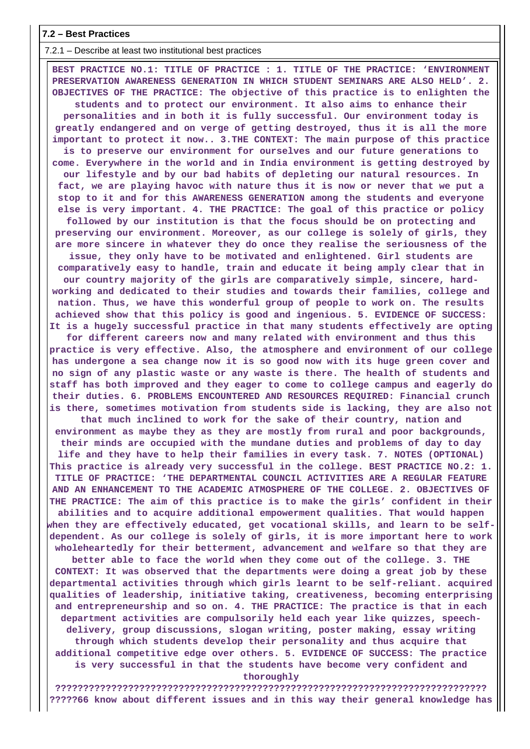**7.2 – Best Practices**

 7.2.1 – Describe at least two institutional best practices **BEST PRACTICE NO.1: TITLE OF PRACTICE : 1. TITLE OF THE PRACTICE: 'ENVIRONMENT PRESERVATION AWARENESS GENERATION IN WHICH STUDENT SEMINARS ARE ALSO HELD'. 2. OBJECTIVES OF THE PRACTICE: The objective of this practice is to enlighten the students and to protect our environment. It also aims to enhance their personalities and in both it is fully successful. Our environment today is greatly endangered and on verge of getting destroyed, thus it is all the more important to protect it now.. 3.THE CONTEXT: The main purpose of this practice is to preserve our environment for ourselves and our future generations to come. Everywhere in the world and in India environment is getting destroyed by our lifestyle and by our bad habits of depleting our natural resources. In fact, we are playing havoc with nature thus it is now or never that we put a stop to it and for this AWARENESS GENERATION among the students and everyone else is very important. 4. THE PRACTICE: The goal of this practice or policy followed by our institution is that the focus should be on protecting and preserving our environment. Moreover, as our college is solely of girls, they are more sincere in whatever they do once they realise the seriousness of the issue, they only have to be motivated and enlightened. Girl students are comparatively easy to handle, train and educate it being amply clear that in our country majority of the girls are comparatively simple, sincere, hardworking and dedicated to their studies and towards their families, college and nation. Thus, we have this wonderful group of people to work on. The results achieved show that this policy is good and ingenious. 5. EVIDENCE OF SUCCESS: It is a hugely successful practice in that many students effectively are opting for different careers now and many related with environment and thus this practice is very effective. Also, the atmosphere and environment of our college has undergone a sea change now it is so good now with its huge green cover and no sign of any plastic waste or any waste is there. The health of students and staff has both improved and they eager to come to college campus and eagerly do their duties. 6. PROBLEMS ENCOUNTERED AND RESOURCES REQUIRED: Financial crunch is there, sometimes motivation from students side is lacking, they are also not that much inclined to work for the sake of their country, nation and environment as maybe they as they are mostly from rural and poor backgrounds, their minds are occupied with the mundane duties and problems of day to day life and they have to help their families in every task. 7. NOTES (OPTIONAL) This practice is already very successful in the college. BEST PRACTICE NO.2: 1. TITLE OF PRACTICE: 'THE DEPARTMENTAL COUNCIL ACTIVITIES ARE A REGULAR FEATURE AND AN ENHANCEMENT TO THE ACADEMIC ATMOSPHERE OF THE COLLEGE. 2. OBJECTIVES OF THE PRACTICE: The aim of this practice is to make the girls' confident in their abilities and to acquire additional empowerment qualities. That would happen when they are effectively educated, get vocational skills, and learn to be selfdependent. As our college is solely of girls, it is more important here to work wholeheartedly for their betterment, advancement and welfare so that they are**

**better able to face the world when they come out of the college. 3. THE CONTEXT: It was observed that the departments were doing a great job by these departmental activities through which girls learnt to be self-reliant. acquired qualities of leadership, initiative taking, creativeness, becoming enterprising and entrepreneurship and so on. 4. THE PRACTICE: The practice is that in each department activities are compulsorily held each year like quizzes, speechdelivery, group discussions, slogan writing, poster making, essay writing through which students develop their personality and thus acquire that additional competitive edge over others. 5. EVIDENCE OF SUCCESS: The practice is very successful in that the students have become very confident and thoroughly**

**????????????????????????????????????????????????????????????????????????????? ?????66 know about different issues and in this way their general knowledge has**